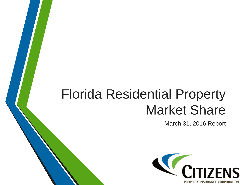## Florida Residential Property Market Share

March 31, 2016 Report

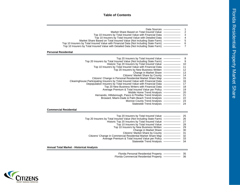## **Table of Contents**

| Data Sources<br>Market Share Based on Total Insured Value<br>Top 10 Insurers by Total Insured Value with Financial Data -<br>Top 10 Insurers by Total Insured Value with Detailed Data -<br>Market Share Based on Total Insured Value (Not Including State Farm) -<br>Top 10 Insurers by Total Insured Value with Financial Data (Not Including State Farm) -<br>Top 10 Insurers by Total Insured Value with Detailed Data (Not Including State Farm) -                                                                                                                                                                                                                                                                                                                                                                                                                                                                                               | $\overline{\mathbf{c}}$<br>3<br>4<br>$\frac{5}{6}$<br>$\overline{7}$                  |
|-------------------------------------------------------------------------------------------------------------------------------------------------------------------------------------------------------------------------------------------------------------------------------------------------------------------------------------------------------------------------------------------------------------------------------------------------------------------------------------------------------------------------------------------------------------------------------------------------------------------------------------------------------------------------------------------------------------------------------------------------------------------------------------------------------------------------------------------------------------------------------------------------------------------------------------------------------|---------------------------------------------------------------------------------------|
| <b>Personal Residential</b>                                                                                                                                                                                                                                                                                                                                                                                                                                                                                                                                                                                                                                                                                                                                                                                                                                                                                                                           |                                                                                       |
| Top 20 Insurers by Total Insured Value<br>Top 20 Insurers by Total Insured Value (Not Including State Farm) - - - - - - - -<br>Historic Top 20 Insurers by Total Insured Value - <b>Conserversion</b><br>Top 10 Insurers by Total Insured Value with Financial Data -<br>Top 20 Insurers by New Business Written<br>Citizens' Market Share by County<br>Citizens' Change in Personal Residential Market Share Map<br>Clearinghouse Participating Insurers by Total Insured Value with Financial Data —————<br>Depopulation Insurers by Total Insured Value with Financial Data ———<br>Top 20 New Business Writers with Financial Data -<br>Average Premium & Total Insured Value per Policy - <b>Consense 18</b><br>Mobile Home Trend Analysis -<br>Hernando, Hillsborough, Pasco & Pinellas Trend Analysis -<br>Broward, Miami-Dade & Palm Beach Trend Analysis - 22<br>Monroe County Trend Analysis -<br>Statewide Trend Analysis - <b>Constant</b> | 9<br>10<br>11<br>12<br>13<br>14<br>15<br>16<br>17<br>18<br>19<br>20<br>21<br>23<br>24 |
| <b>Commercial Residential</b>                                                                                                                                                                                                                                                                                                                                                                                                                                                                                                                                                                                                                                                                                                                                                                                                                                                                                                                         |                                                                                       |
| Top 20 Insurers by Total Insured Value -<br>Historic Top 20 Insurers by Total Insured Value <b>- Theory of Alace</b><br>Top 10 Insurers by Total Insured Value<br>Top 10 Insurers by New Business Written - Top 10 Insurers by New Business Written<br>Change in Market Share<br>Citizens' Market Share by County<br>Citizens' Change in Commercial Residential Market Share Map - 32<br>Average Premium & Total Insured Value per Policy - 33<br>Statewide Trend Analysis <b>Constants</b>                                                                                                                                                                                                                                                                                                                                                                                                                                                           | 25<br>26<br>27<br>28<br>29<br>30<br>31<br>34                                          |
| <b>Annual Total Market - Historical Analysis</b>                                                                                                                                                                                                                                                                                                                                                                                                                                                                                                                                                                                                                                                                                                                                                                                                                                                                                                      |                                                                                       |
|                                                                                                                                                                                                                                                                                                                                                                                                                                                                                                                                                                                                                                                                                                                                                                                                                                                                                                                                                       |                                                                                       |

Florida Personal Residential Property

36 35 Florida Commercial Residential Property

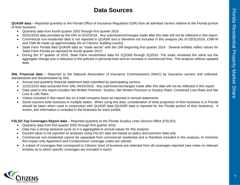## **Data Sources**

**QUASR data** – Reported quarterly to the Florida Office of Insurance Regulation (OIR) from all admitted carriers relative to the Florida portion of their business

- Quarterly data from fourth quarter 2002 through first quarter 2016
- 03/31/2016 data provided by the OIR on 6/22/2016. Any submissions/changes made after this date will not be reflected in this report.
- Commercial non-residential data is not reported in QUASR and is therefore not included in this analysis (As of 03/31/2016, CNR-M and CNR-W made up approximately 4% of Citizens' building counts)
- State Farm Florida filed QUASR data as "trade secret" with the OIR beginning first quarter 2014. Several exhibits reflect values for State Farm Florida as reported for fourth quarter 2013.
- During the 3<sup>rd</sup> quarter of 2010, State Farm resubmitted data for 1Q2009 through 2Q2010. The totals remained the same but the aggregate change was a reduction in the policies in personal lines and an increase in commercial lines. This analysis reflects updated data.

**SNL Financial data** – Reported to the National Association of Insurance Commissioners (NAIC) by insurance carriers and collected, standardized and disseminated by SNL

- Annual and quarterly financial statement data submitted by participating carriers.
- 12/31/2015 data extracted from SNL 04/25/2016. Any submissions/changes made after this date will not be reflected in this report.
- Data used in this report includes Net Written Premium, Surplus, Net Written Premium to Surplus Ratio, Combined Loss Ratio and Net Loss & LAE Ratio.
- Values included in this report are on a total company basis as reported in annual statements.
- Some insurers write business in multiple states. When using this data, consideration of what proportion of their business is in Florida should be taken when used in conjunction with QUASR data (QUASR data is reported for the Florida portion of their business). If known, this information is included in the footnotes for each exhibit.

**FSLSO Top Coverages Report data** – Reported quarterly to the Florida Surplus Lines Service Office (FSLSO)

- Quarterly data from first quarter 2002 through first quarter 2016
- Data has a strong seasonal cycle so it is aggregated to annual values for this analysis
- Insured value is not reported so analyses using FSLSO data are based on policy and premium data only
- Commercial non-residential cannot be separated from commercial residential and is therefore included in this analysis; to minimize this impact only Apartment and Condominium coverage codes are utilized.
- A subset of coverages that correspond to Citizens' lines of business are selected from all coverages reported (see notes on relevant exhibits as to which specific coverages are included in each)

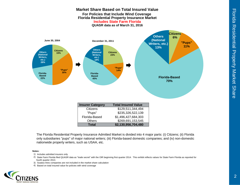Florida Residential Property Market Share

Florida Residential Property Market Share

|                                                                                                                                                       |                                                                                                                | <b>Florida Residential Property Insurance Market</b><br><b>Includes State Farm Florida</b><br>QUASR data as of March 31, 2016 |                                                                                                                                     |
|-------------------------------------------------------------------------------------------------------------------------------------------------------|----------------------------------------------------------------------------------------------------------------|-------------------------------------------------------------------------------------------------------------------------------|-------------------------------------------------------------------------------------------------------------------------------------|
| June 30, 2004<br><b>Citizens</b><br><b>Others</b><br>15%<br>(National<br>Writers.<br>etc.)<br>28%<br>"Pups"<br>35%<br>Florida-<br><b>Based</b><br>22% | December 31, 2011<br><b>Others</b><br>(National<br>Writers.<br>etc.)<br>18%<br>Florida-<br><b>Based</b><br>45% | <b>Citizens</b><br>23%<br>"Pups"<br>14%                                                                                       | <b>Citizens</b><br><b>Others</b><br>6%<br>(National<br>"Pups"<br>Writers, etc.)<br><b>11%</b><br>13%<br><b>Florida-Based</b><br>70% |
|                                                                                                                                                       | <b>Insurer Category</b>                                                                                        | <b>Total Insured Value</b>                                                                                                    |                                                                                                                                     |
|                                                                                                                                                       | Citizens                                                                                                       | \$129,511,344,494                                                                                                             |                                                                                                                                     |
|                                                                                                                                                       | "Pups"                                                                                                         | \$235,326,522,139                                                                                                             |                                                                                                                                     |
|                                                                                                                                                       | Florida-Based                                                                                                  | \$1,496,427,684,303                                                                                                           |                                                                                                                                     |
|                                                                                                                                                       | Others                                                                                                         | \$269,691,153,545                                                                                                             |                                                                                                                                     |
|                                                                                                                                                       | <b>Total</b>                                                                                                   | \$2,130,956,704,480                                                                                                           |                                                                                                                                     |
|                                                                                                                                                       |                                                                                                                |                                                                                                                               |                                                                                                                                     |

**Market Share Based on Total Insured ValueFor Policies that Include Wind Coverage** 

The Florida Residential Property Insurance Admitted Market is divided into 4 major parts: (i) Citizens; (ii) Florida only subsidiaries "pups" of major national writers; (iii) Florida-based domestic companies; and (iv) non-domestic nationwide property writers, such as USAA, etc.

#### **Notes:**

- 1) Includes admitted insurers only
- 2) State Farm Florida filed QUASR data as "trade secret" with the OIR beginning first quarter 2014. This exhibit reflects values for State Farm Florida as reported for fourth quarter 2013.
- 3) Surplus lines companies are not included in the market share calculation
- 4) Based on total insured value for policies with wind coverage

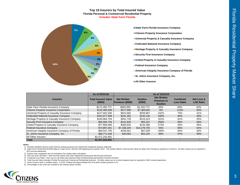#### **Top 10 Insurers by Total Insured Value Florida Personal & Commercial Residential Property Includes State Farm Florida**



- **State Farm Florida Insurance Company Citizens Property Insurance Corporation Universal Property & Casualty Insurance Company Federated National Insurance Company Heritage Property & Casualty Insurance Company Security First Insurance Company United Property & Casualty Insurance Company Federal Insurance Company American Integrity Insurance Company of Florida** ■ St. Johns Insurance Company, Inc.
- **All Other Insurers**

|                                                 | As of 03/31/16                       |                                              |                           | As of 12/31/15                                            |                                      |                                           |
|-------------------------------------------------|--------------------------------------|----------------------------------------------|---------------------------|-----------------------------------------------------------|--------------------------------------|-------------------------------------------|
| <b>Insurers</b>                                 | <b>Total Insured Value</b><br>(5000) | <b>Net Written</b><br><b>Premium (\$000)</b> | <b>Surplus</b><br>(\$000) | <b>Net Written</b><br><b>Premium to</b><br><b>Surplus</b> | <b>Combined</b><br><b>Loss Ratio</b> | <b>Net Loss &amp;</b><br><b>LAE Ratio</b> |
| State Farm Florida Insurance Company            | \$172,186,772                        | \$583.950                                    | \$1,033,773               | 56%                                                       | 69%                                  | 42%                                       |
| Citizens Property Insurance Corporation         | \$132,466,939                        | \$577,999                                    | \$7,389,692               | 8%                                                        | 113%                                 | 64%                                       |
| Universal Property & Casualty Insurance Company | \$127,681,936                        | \$622,964                                    | \$256,987                 | 242%                                                      | 75%                                  | 41%                                       |
| Federated National Insurance Company            | \$101,677,408                        | \$241.362                                    | \$145.135                 | 166%                                                      | 90%                                  | 56%                                       |
| Heritage Property & Casualty Insurance Company  | \$100,864,794                        | \$391.728                                    | \$216.423                 | 181%                                                      | 81%                                  | 45%                                       |
| Security First Insurance Company                | \$82,684,726                         | \$141,645                                    | \$55,321                  | 256%                                                      | 96%                                  | 66%                                       |
| United Property & Casualty Insurance Company    | \$77,806,958                         | \$369,935                                    | \$135.288                 | 273%                                                      | 93%                                  | 56%                                       |
| Federal Insurance Company                       | \$74,897,301                         | \$7.338.204                                  | \$13,278,705              | 55%                                                       | 85%                                  | 54%                                       |
| American Integrity Insurance Company of Florida | \$69,537,760                         | \$108.461                                    | \$67.639                  | 160%                                                      | 84%                                  | 50%                                       |
| St. Johns Insurance Company, Inc.               | \$68,771,548                         | \$34,092                                     | \$50,220                  | 68%                                                       | 97%                                  | 96%                                       |
| All Other Insurers                              | \$1,471,243,481                      |                                              |                           |                                                           |                                      |                                           |
| <b>Total</b>                                    | \$2,307,632,852                      |                                              |                           |                                                           |                                      |                                           |

#### **Notes:**

1) Includes admitted insurers (and Citizens) writing personal and commercial residential property statewide

2) State Farm Florida filed QUASR data as "trade secret" with the OIR beginning first quarter 2014. This exhibit reflects Total Insured Value for State Farm Florida as reported on 12/31/13. All other values are as reported 2014 annual statements.

3) Surplus lines companies are not included in the market share calculation

4) Net Loss and LAE Ratio = (Net Incurred Claims and Claim Adjustment Expenses)/ Net Earned Premiums

5) Combined Loss Ratio = Net Loss & LAE Ratio plus Expense Ratio (Underwriting Expense/Net Premiums Written)

6) Total Insured Value indicates Florida Personal and Commercial Residential business. All other values are on a total company basis as reported in NAIC annual statements.

7) Some insurers write in multiple states. In 2015, Federal had approximately 8% of its direct written premium in FL.

8) Percentages in pie chart are rounded to the nearest whole number

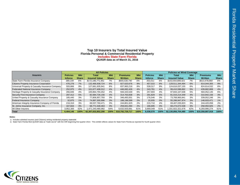## **Top 10 Insurers by Total Insured Value Florida Personal & Commercial Residential Property Includes State Farm Florida QUASR data as of March 31, 2016**

|                                                 |                 |              | <b>All Policies</b>  |              |                  |              | <b>Policies w/ Wind Coverage</b> |              |                      |              |                  |              |
|-------------------------------------------------|-----------------|--------------|----------------------|--------------|------------------|--------------|----------------------------------|--------------|----------------------|--------------|------------------|--------------|
| <b>Insurers</b>                                 | <b>Policies</b> | <b>Mkt</b>   | Total                | <b>Mkt</b>   | <b>Premiums</b>  | <b>Mkt</b>   | <b>Policies</b>                  | <b>Mkt</b>   | Total                | <b>Mkt</b>   | <b>Premiums</b>  | <b>Mkt</b>   |
|                                                 | <b>Inforce</b>  | <b>Share</b> | <b>Insured Value</b> | <b>Share</b> | <b>Written</b>   | <b>Share</b> | <b>Inforce</b>                   | <b>Share</b> | <b>Insured Value</b> | <b>Share</b> | <b>Written</b>   | <b>Share</b> |
| State Farm Florida Insurance Company            | 389.109         | 6%           | \$172.186.771.951    | 7%           | \$655.530.740    | 6%           | 353.011                          | 6%           | \$153.554.899.421    | 7%           | \$613,478,860    | 6%           |
| <b>Citizens Property Insurance Corporation</b>  | 476,278         | 7%           | 132,466,938,724      | 6%           | 927,620,676      | 9%           | 457,015                          | 8%           | 129,511,344,494      | 6%           | 914,044,305      | 9%           |
| Universal Property & Casualty Insurance Company | 555.866         | 9%           | 127.681.935.941      | 6%           | 837.983.218      | 8%           | 539.317                          | 9%           | 124.616.037.155      | 6%           | 824.814.532      | 8%           |
| <b>Federated National Insurance Company</b>     | 252,975         | 4%           | 101.677.408.312      | 4%           | 446.082.426      | 4%           | 243.781                          | 4%           | 99.410.596.892       | 5%           | 439.682.808      | 4%           |
| Heritage Property & Casualty Insurance Company  | 266.846         | 4%           | 100.864.794.452      | 4%           | 594.443.549      | 6%           | 257.693                          | 4%           | 97.844.167.638       | 5%           | 584.052.145      | 6%           |
| Security First Insurance Company                | 297.412         | 5%           | 82.684.726.156       | 4%           | 314.763.838      | 3%           | 291,829                          | 5%           | 81.015.214.349       | 4%           | 310.942.156      | 3%           |
| United Property & Casualty Insurance Company    | 185.440         | 3%           | 77.806.957.793       | 3%           | 346.493.001      | 3%           | 176.546                          | 3%           | 73.768.965.841       | 3%           | 339.052.246      | 3%           |
| Federal Insurance Company                       | 32,875          | 1%           | 74,897,300,996       | 3%           | 188,196,599      | 2%           | 20,935                           | 0%           | 55,286,947,974       | 3%           | 148,933,471      | 1%           |
| American Integrity Insurance Company of Florida | 216.310         | 3%           | 69.537.760.471       | 3%           | 244.801.625      | 2%           | 215.710                          | 4%           | 69,407,035,923       | 3%           | 244.420.056      | 2%           |
| St. Johns Insurance Company, Inc.               | 167.844         | 3%           | 68,771,548,463       | 3%           | 259,841,094      | 2%           | 166,695                          | 3%           | 68,274,072,538       | 3%           | 258,950,925      | 2%           |
| All Other Insurers                              | 3,952,300       | 62%          | 1.471.243.480.982    | 64%          | 6.632.503.691    | 61%          | 3.669.049                        | 61%          | 1,331,822,321,676    | 62%          | 6,293,995,274    | 61%          |
| <b>Total</b>                                    | 6.404.146       | 100%         | \$2.307.632.852.290  | 100%         | \$10.792.729.717 | 100%         | 6.038.570                        | 100%         | \$2.130.956.704.480  | 100%         | \$10.358.887.918 | 100%         |

#### **Notes:**

.<br>1) Includes admitted insurers (and Citizens) writing residential property statewide<br>2) State Farm Florida filed QUASR data as "trade secret" with the OIR beginning first quarter 2014. This exhibit reflects values for Sta

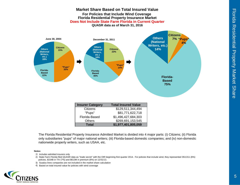

The Florida Residential Property Insurance Admitted Market is divided into 4 major parts: (i) Citizens; (ii) Florida only subsidiaries "pups" of major national writers; (iii) Florida-based domestic companies; and (iv) non-domestic nationwide property writers, such as USAA, etc.

#### **Notes:**

1) Includes admitted insurers only

- 2) State Farm Florida filed QUASR data as "trade secret" with the OIR beginning first quarter 2014. For policies that include wind, they represented 353,011 (6%) policies, \$154B in TIV (7%) and \$613M in premium (6%) on 12/31/13.
- 3) Surplus lines companies are not included in the market share calculation
- 4) Based on total insured value for policies with wind coverage

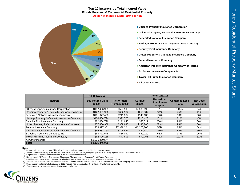### **Top 10 Insurers by Total Insured Value Florida Personal & Commercial Residential Property Does Not Include State Farm Florida**



- **Citizens Property Insurance Corporation**
- **Universal Property & Casualty Insurance Company**
- **Federated National Insurance Company**
- **Heritage Property & Casualty Insurance Company**
- **Security First Insurance Company**
- **United Property & Casualty Insurance Company**
- **Federal Insurance Company**
- **American Integrity Insurance Company of Florida**
- St. Johns Insurance Company, Inc.
- **Tower Hill Prime Insurance Company**
- **All Other Insurers**

|                                                 | As of 03/31/16                       |                                       |                          | As of 12/31/15                                            |                                      |                                |
|-------------------------------------------------|--------------------------------------|---------------------------------------|--------------------------|-----------------------------------------------------------|--------------------------------------|--------------------------------|
| <b>Insurers</b>                                 | <b>Total Insured Value</b><br>(5000) | <b>Net Written</b><br>Premium (\$000) | <b>Surplus</b><br>(5000) | <b>Net Written</b><br><b>Premium to</b><br><b>Surplus</b> | <b>Combined Loss</b><br><b>Ratio</b> | <b>Net Loss</b><br>& LAE Ratio |
| Citizens Property Insurance Corporation         | \$132,466,939                        | \$577,999                             | \$7,389,692              | 8%                                                        | 113%                                 | 64%                            |
| Universal Property & Casualty Insurance Company | \$127,681,936                        | \$622,964                             | \$256,987                | 242%                                                      | 75%                                  | 41%                            |
| Federated National Insurance Company            | \$101,677,408                        | \$241,362                             | \$145,135                | 166%                                                      | 90%                                  | 56%                            |
| Heritage Property & Casualty Insurance Company  | \$100,864,794                        | \$391.728                             | \$216,423                | 181%                                                      | 81%                                  | 45%                            |
| Security First Insurance Company                | \$82,684,726                         | \$141.645                             | \$55,321                 | 256%                                                      | 96%                                  | 66%                            |
| United Property & Casualty Insurance Company    | \$77,806,958                         | \$369,935                             | \$135,288                | 273%                                                      | 93%                                  | 56%                            |
| Federal Insurance Company                       | \$74,897,301                         | \$7,338,204                           | \$13,278,705             | 55%                                                       | 85%                                  | 54%                            |
| American Integrity Insurance Company of Florida | \$69,537,760                         | \$108,461                             | \$67,639                 | 160%                                                      | 84%                                  | 50%                            |
| St. Johns Insurance Company, Inc.               | \$68,771,548                         | \$34,092                              | \$50,220                 | 68%                                                       | 97%                                  | 96%                            |
| Tower Hill Prime Insurance Company              | \$62,796,135                         | \$40,801                              | \$79.761                 | 51%                                                       | 121%                                 | 81%                            |
| <b>All Other Insurers</b>                       | \$1,236,260,574                      |                                       |                          |                                                           |                                      |                                |
| <b>Total</b>                                    | \$2,135,446,080                      |                                       |                          |                                                           |                                      |                                |

#### **Notes:**

1) Includes admitted insurers (and Citizens) writing personal and commercial residential property statewide

2) State Farm Florida filed QUASR data as "trade secret" with the OIR beginning first quarter 2014. They represented \$172B in TIV on 12/31/13.

3) Surplus lines companies are not included in the market share calculation

4) Net Loss and LAE Ratio = (Net Incurred Claims and Claim Adjustment Expenses)/ Net Earned Premiums

5) Combined Loss Ratio = Net Loss & LAE Ratio plus Expense Ratio (Underwriting Expense/Net Premiums Written)

6) Total Insured Value indicates Florida Personal and Commercial Residential business. All other values are on a total company basis as reported in NAIC annual statements.

7) Some insurers write in multiple states. In 2015, Federal had approximately 8% of its direct written premium in FL.

8) Percentages in pie chart are rounded to the nearest whole number

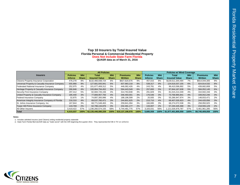## **Top 10 Insurers by Total Insured Value Florida Personal & Commercial Residential Property Does Not Include State Farm Florida QUASR data as of March 31, 2016**

|                                                 |                 | <b>All Policies</b> |                      |              |                  |              |                 |              | <b>Policies w/ Wind Coverage</b> |              |                 |              |  |  |
|-------------------------------------------------|-----------------|---------------------|----------------------|--------------|------------------|--------------|-----------------|--------------|----------------------------------|--------------|-----------------|--------------|--|--|
| <b>Insurers</b>                                 | <b>Policies</b> | <b>Mkt</b>          | Total                | <b>Mkt</b>   | <b>Premiums</b>  | <b>Mkt</b>   | <b>Policies</b> | <b>Mkt</b>   | Total                            | <b>Mkt</b>   | <b>Premiums</b> | <b>Mkt</b>   |  |  |
|                                                 | <b>Inforce</b>  | <b>Share</b>        | <b>Insured Value</b> | <b>Share</b> | <b>Written</b>   | <b>Share</b> | <b>Inforce</b>  | <b>Share</b> | <b>Insured Value</b>             | <b>Share</b> | <b>Written</b>  | <b>Share</b> |  |  |
| Citizens Property Insurance Corporation         | 476.278         | 8%                  | \$132.466.938.724    | 6%           | \$927.620.676    | 9%           | 457,015         | 8%           | \$129.511.344.494                | 7%           | \$914.044.305   | 9%           |  |  |
| Universal Property & Casualty Insurance Company | 555,866         | 9%                  | 127,681,935,941      | 6%           | 837,983,218      | 8%           | 539,317         | 9%           | 124,616,037,155                  | 6%           | 824,814,532     | 8%           |  |  |
| Federated National Insurance Company            | 252.975         | 4%                  | 101.677.408.312      | 5%           | 446.082.426      | 4%           | 243.781         | 4%           | 99,410,596,892                   | 5%           | 439.682.808     | 5%           |  |  |
| Heritage Property & Casualty Insurance Company  | 266,846         | 4%                  | 100,864,794,452      | 5%           | 594.443.549      | 6%           | 257,693         | 5%           | 97,844,167,638                   | 5%           | 584,052,145     | 6%           |  |  |
| Security First Insurance Company                | 297,412         | 5%                  | 82,684,726,156       | 4%           | 314.763.838      | 3%           | 291,829         | 5%           | 81,015,214,349                   | 4%           | 310,942,156     | 3%           |  |  |
| United Property & Casualty Insurance Company    | 185,440         | 3%                  | 77,806,957,793       | 4%           | 346,493,001      | 3%           | 176,546         | 3%           | 73,768,965,841                   | 4%           | 339,052,246     | 3%           |  |  |
| Federal Insurance Company                       | 32,875          | 1%                  | 74,897,300,996       | 4%           | 188.196.599      | 2%           | 20,935          | 0%           | 55,286,947,974                   | 3%           | 148.933.471     | 2%           |  |  |
| American Integrity Insurance Company of Florida | 216,310         | 4%                  | 69,537,760,471       | 3%           | 244,801,625      | 2%           | 215,710         | 4%           | 69,407,035,923                   | 4%           | 244,420,056     | 3%           |  |  |
| St. Johns Insurance Company, Inc.               | 167.844         | 3%                  | 68.771.548.463       | 3%           | 259.841.094      | 3%           | 166.695         | 3%           | 68,274,072,538                   | 3%           | 258.950.925     | 3%           |  |  |
| Tower Hill Prime Insurance Company              | 143,769         | 2%                  | 62,796,134,876       | 3%           | 232,491,177      | 2%           | 133,007         | 2%           | 57,240,445,468                   | 3%           | 218,555,129     | 2%           |  |  |
| All Other Insurers                              | 3,419,422       | 57%                 | 1,236,260,574,155    | 58%          | 5,744,481,775    | 57%          | 3,183,031       | 56%          | 121,026,976,787                  | 57%          | 5,461,961,285   | 56%          |  |  |
| <b>Total</b>                                    | 6.015.037       | 100%                | \$2.135.446.080.339  | 100%         | \$10.137.198.978 | 100%         | 5.685.559       | 100%         | \$1.977.401.805.059              | 100%         | \$9.745.409.059 | 100%         |  |  |

#### **Notes:**

1) Includes admitted insurers (and Citizens) writing residential property statewide

2) State Farm Florida filed QUASR data as "trade secret" with the OIR beginning first quarter 2014. They represented \$172B in TIV on 12/31/13.

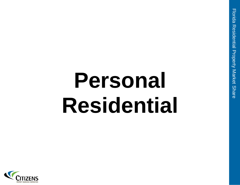# **Personal Residential**

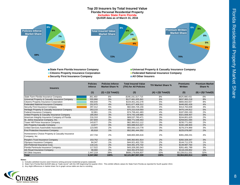

- 
- 
- **Security First Insurance Company All Other Insurers**
- 
- **Citizens Property Insurance Corporation Federated National Insurance Company** 
	-

| <b>Insurers</b>                                                  | <b>Policies</b><br><b>Inforce</b> | <b>Policies Inforce</b><br><b>Market Share %</b> | <b>Total Insured Value</b><br>(TIV) for All Policies | <b>TIV Market Share %</b>    | <b>Premiums</b><br>Written | <b>Premium Market</b><br>Share % |
|------------------------------------------------------------------|-----------------------------------|--------------------------------------------------|------------------------------------------------------|------------------------------|----------------------------|----------------------------------|
|                                                                  | (1)                               | $(2) = (1)/ \text{Total}(1)$                     | (3)                                                  | $(4) = (3)/ \text{Total}(3)$ | (5)                        | $(6) = (5)$ / Total $(5)$        |
| State Farm Florida Insurance Company                             | 361,493                           | 6%                                               | \$166,191,317,715                                    | 8%                           | \$625,980,431              | 6%                               |
| Universal Property & Casualty Insurance Company                  | 555,866                           | 9%                                               | \$127,681,935,941                                    | 6%                           | \$837,983,218              | 8%                               |
| Citizens Property Insurance Corporation                          | 468.840                           | 7%                                               | \$104.401.242.278                                    | 5%                           | \$800.063.557              | 8%                               |
| <b>Federated National Insurance Company</b>                      | 252.975                           | 4%                                               | \$101,677,408,312                                    | 5%                           | \$446.082.426              | 4%                               |
| Security First Insurance Company                                 | 297,412                           | 5%                                               | \$82,684,726,156                                     | 4%                           | \$314,763,838              | 3%                               |
| Heritage Property & Casualty Insurance Company                   | 263,215                           | 4%                                               | \$75,222,018,593                                     | 4%                           | \$470,144,912              | 5%                               |
| Federal Insurance Company                                        | 32,861                            | 1%                                               | \$74,758,441,483                                     | 4%                           | \$187,093,193              | 2%                               |
| United Property & Casualty Insurance Company                     | 185.054                           | 3%                                               | \$74,743,109,965                                     | 4%                           | \$321,608,407              | 3%                               |
| American Integrity Insurance Company of Florida                  | 216,310                           | 3%                                               | \$69,537,760,471                                     | 3%                           | \$244,801,625              | 2%                               |
| St. Johns Insurance Company, Inc.                                | 167.844                           | 3%                                               | \$68,771,548,463                                     | 3%                           | \$259.841.094              | 3%                               |
| Tower Hill Prime Insurance Company                               | 143,677                           | 2%                                               | \$62,360,012,112                                     | 3%                           | \$230,771,062              | 2%                               |
| <b>AIG Property Casualty Company</b>                             | 14.677                            | 0%                                               | \$55,688,915,027                                     | 3%                           | \$160,188,904              | 2%                               |
| United Services Automobile Association                           | 123,565                           | 2%                                               | \$55,593,110,778                                     | 3%                           | \$276,374,969              | 3%                               |
| First Protective Insurance Company                               | 85.918                            | 1%                                               | \$52,081,444,352                                     | 2%                           | \$225,078,087              | 2%                               |
| Homeowners Choice Property & Casualty Insurance<br>Company, Inc. | 157.734                           | 2%                                               | \$48,800,365,616                                     | 2%                           | \$391,269,231              | 4%                               |
| People's Trust Insurance Company                                 | 153,752                           | 2%                                               | \$45,362,601,914                                     | 2%                           | \$282,328,347              | 3%                               |
| Olympus Insurance Company                                        | 84,347                            | 1%                                               | \$44,921,402,720                                     | 2%                           | \$144,711,578              | 1%                               |
| ASI Preferred Insurance Corp.                                    | 118.141                           | 2%                                               | \$44,491,375,732                                     | 2%                           | \$139,997,764              | 1%                               |
| Florida Peninsula Insurance Company                              | 117,522                           | 2%                                               | \$43,328,283,343                                     | 2%                           | \$261,481,789              | 3%                               |
| Ark Royal Insurance Company                                      | 98,660                            | 2%                                               | \$34,391,879,522                                     | 2%                           | \$118,226,852              | 1%                               |
| All Other Insurers                                               | 2,447,219                         | 39%                                              | \$689,178,656,837                                    | 32%                          | \$3,226,011,531            | 32%                              |
| <b>Total</b>                                                     | 6,347,082                         | 100%                                             | \$2,121,867,557,330                                  | 100%                         | \$9,964,802,814            | 100%                             |

#### **Notes:**

1) Includes admitted insurers (and Citizens) writing personal residential property statewide

2) State Farm Florida filed QUASR data as "trade secret" with the OIR beginning first quarter 2014. This exhibit reflects values for State Farm Florida as reported for fourth quarter 2013.

3) Any slight differences in market share %s in graph versus table are due to rounding

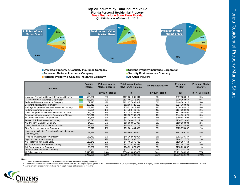#### **Top 20 Insurers by Total Insured Value Florida Personal Residential Property QUASR data as of March 31, 2016 Does Not Include State Farm Florida**



**Universal Property & Casualty Insurance Company Citizens Property Insurance Corporation Federated National Insurance Company <b>Security First Insurance Company Security First Insurance Company Heritage Property & Casualty Insurance Company <b>All Other Insurers** 

- 
- 
- 

| <b>Insurers</b>                                                  | <b>Policies</b><br><b>Inforce</b> | <b>Policies Inforce</b><br><b>Market Share %</b> | <b>Total Insured Value</b><br>(TIV) for All Policies | <b>TIV Market Share %</b>    | <b>Premiums</b><br><b>Written</b> | <b>Premium Market</b><br>Share % |
|------------------------------------------------------------------|-----------------------------------|--------------------------------------------------|------------------------------------------------------|------------------------------|-----------------------------------|----------------------------------|
|                                                                  | (1)                               | $(2) = (1)/ \text{Total}(1)$                     | (3)                                                  | $(4) = (3)/ \text{Total}(3)$ | (5)                               | $(6) = (5)$ / Total $(5)$        |
| Universal Property & Casualty Insurance Company                  | 555,866                           | 9%                                               | \$127,681,935,941                                    | 7%                           | \$837,983,218                     | 9%                               |
| Citizens Property Insurance Corporation                          | 468,840                           | 8%                                               | \$104,401,242,278                                    | 5%                           | \$800,063,557                     | 9%                               |
| Federated National Insurance Company                             | 252,975                           | 4%                                               | \$101,677,408,312                                    | 5%                           | \$446.082.426                     | 5%                               |
| Security First Insurance Company                                 | 297,412                           | 5%                                               | \$82,684,726,156                                     | 4%                           | \$314,763,838                     | 3%                               |
| Heritage Property & Casualty Insurance Company                   | 263,215                           | 4%                                               | \$75,222,018,593                                     | 4%                           | \$470,144,912                     | 5%                               |
| Federal Insurance Company                                        | 32,861                            | 1%                                               | \$74.758.441.483                                     | 4%                           | \$187.093.193                     | 2%                               |
| United Property & Casualty Insurance Company                     | 185,054                           | 3%                                               | \$74,743,109,965                                     | 4%                           | \$321,608,407                     | 3%                               |
| American Integrity Insurance Company of Florida                  | 216,310                           | 4%                                               | \$69,537,760,471                                     | 4%                           | \$244,801,625                     | 3%                               |
| St. Johns Insurance Company, Inc.                                | 167.844                           | 3%                                               | \$68,771,548,463                                     | 4%                           | \$259,841,094                     | 3%                               |
| Tower Hill Prime Insurance Company                               | 143.677                           | 2%                                               | \$62.360.012.112                                     | 3%                           | \$230.771.062                     | 2%                               |
| AIG Property Casualty Company                                    | 14,677                            | 0%                                               | \$55,688,915,027                                     | 3%                           | \$160,188,904                     | 2%                               |
| United Services Automobile Association                           | 123,565                           | 2%                                               | \$55,593,110,778                                     | 3%                           | \$276,374,969                     | 3%                               |
| First Protective Insurance Company                               | 85,918                            | 1%                                               | \$52,081,444,352                                     | 3%                           | \$225,078,087                     | 2%                               |
| Homeowners Choice Property & Casualty Insurance<br>Company, Inc. | 157,734                           | 3%                                               | \$48,800,365,616                                     | 2%                           | \$391,269,231                     | 4%                               |
| People's Trust Insurance Company                                 | 153,752                           | 3%                                               | \$45,362,601,914                                     | 2%                           | \$282,328,347                     | 3%                               |
| Olympus Insurance Company                                        | 84,347                            | 1%                                               | \$44,921,402,720                                     | 2%                           | \$144.711.578                     | 2%                               |
| ASI Preferred Insurance Corp.                                    | 118,141                           | 2%                                               | \$44,491,375,732                                     | 2%                           | \$139,997,764                     | 1%                               |
| Florida Peninsula Insurance Company                              | 117,522                           | 2%                                               | \$43,328,283,343                                     | 2%                           | \$261,481,789                     | 3%                               |
| Ark Royal Insurance Company                                      | 98,660                            | 2%                                               | \$34,391,879,522                                     | 2%                           | \$118,226,852                     | 1%                               |
| Florida Family Insurance Company                                 | 103,803                           | 2%                                               | \$32,748,789,416                                     | 2%                           | \$114,945,138                     | 1%                               |
| All Other Insurers                                               | 2,343,416                         | 39%                                              | \$656.429.867.422                                    | 34%                          | \$3.111.066.393                   | 33%                              |
| <b>Total</b>                                                     | 5,985,589                         | 100%                                             | \$1,955,676,239,615                                  | 100%                         | \$9,338,822,383                   | 100%                             |

#### **Notes:**

1) Includes admitted insurers (and Citizens) writing personal residential property statewide

2) State Farm Florida filed QUASR data as "trade secret" with the OIR beginning first quarter 2014. They represented 361,493 policies (6%), \$166B in TIV (8%) and \$626M in premium (6%) for personal residential on 12/31/13.

3) Any slight differences in market share %s in graph versus table are due to rounding

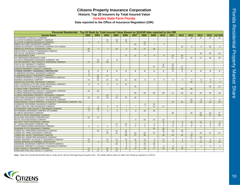## **Citizens Property Insurance Corporation Historic Top 20 Insurers by Total Insured Value**

**Includes State Farm Florida**

**Data reported to the Office of Insurance Regulation (OIR)**

| Personal Residential - Top 20 Rank by Total Insured Value Based on QUASR data reported to the OIR |                 |                 |                 |                |                 |                  |                 |                |                 |                 |                 |                 |                |                |                  |
|---------------------------------------------------------------------------------------------------|-----------------|-----------------|-----------------|----------------|-----------------|------------------|-----------------|----------------|-----------------|-----------------|-----------------|-----------------|----------------|----------------|------------------|
| <b>Insurer Name</b>                                                                               | 2002            | 2003            | 2004            | 2005           | 2006            | 2007             | 2008            | 2009           | 2010            | 2011            | 2012            | 2013            | 2014           | 2015           | l1Q 2016         |
| AIG PROPERTY CASUALTY COMPANY                                                                     |                 |                 |                 |                |                 |                  |                 |                |                 |                 |                 | 13              | 14             | 13             | 12               |
| ALLSTATE FLORIDIAN INDEMNITY COMPANY                                                              |                 |                 | 13              | 18             | 15              |                  |                 |                |                 |                 |                 |                 |                |                |                  |
| ALLSTATE FLORIDIAN INSURANCE COMPANY                                                              | 3               | $\mathbf{3}$    | $\overline{4}$  | $5^{\circ}$    | $\mathbf{3}$    |                  | 12              |                |                 |                 |                 |                 |                |                |                  |
| AMERICAN HOME ASSURANCE COMPANY                                                                   |                 |                 |                 |                |                 | 15               | 11              | $\overline{7}$ | $\overline{7}$  |                 |                 |                 |                |                |                  |
| AMERICAN INTEGRITY INSURANCE COMPANY OF FLORIDA                                                   |                 |                 |                 |                |                 |                  |                 |                |                 |                 | 13              | 9               | 9              | 10             | 9                |
| AMERICAN STRATEGIC INSURANCE CORP.                                                                | 16              | $\overline{7}$  | $\overline{7}$  | 10             | 9               | 12               | 17              | 18             |                 |                 |                 |                 |                |                |                  |
| ARGUS FIRE & CASUALTY INSURANCE COMPANY                                                           | 18              |                 |                 |                |                 |                  |                 |                |                 |                 |                 |                 |                |                |                  |
| ARK ROYAL INSURANCE COMPANY                                                                       |                 |                 |                 |                |                 |                  |                 |                |                 |                 |                 |                 | 19             | 20             | 20               |
| ASI ASSURANCE CORP.                                                                               |                 |                 |                 |                | 17              | 11               | 9               | 8              | 8               | 10              | 14              |                 |                |                |                  |
| ASI PREFERRED INSURANCE CORP.                                                                     |                 |                 |                 |                |                 |                  |                 |                |                 | 17              | 15              | 15              | 17             | 18             | 18               |
| ATLANTIC PREFERRED INSURANCE COMPANY, INC.                                                        |                 | 15              | 8               | 8              |                 |                  |                 |                |                 |                 |                 |                 |                |                |                  |
| AXA RE PROPERTY AND CASUALTY INSURANCE COMPANY                                                    | 17              | 11              | 20              |                |                 |                  |                 |                |                 |                 |                 |                 |                |                |                  |
| CASTLE KEY INDEMNITY COMPANY                                                                      |                 |                 |                 |                |                 |                  |                 |                | 14              | 16              |                 |                 |                |                |                  |
| CASTLE KEY INSURANCE COMPANY                                                                      |                 |                 |                 |                |                 |                  |                 | 11             | 10 <sup>°</sup> | 14              | 17              |                 |                |                |                  |
| <b>CHARTIS PROPERTY CASUALTY COMPANY</b>                                                          |                 |                 |                 |                |                 |                  |                 |                |                 | 13              | 11              |                 |                |                |                  |
| <b>CITIZENS PROPERTY INSURANCE CORPORATION</b>                                                    | $\overline{2}$  | $\overline{2}$  | $\overline{2}$  | $\overline{2}$ | $\overline{2}$  | $\overline{2}$   | $\overline{2}$  | $\overline{2}$ | $\mathbf{1}$    | $\mathbf{1}$    | $\mathbf{1}$    | $\mathbf{1}$    | $\overline{2}$ | 3              | $3^{\circ}$      |
| CLARENDON NATIONAL INSURANCE COMPANY                                                              | 6               |                 |                 |                |                 |                  |                 |                |                 |                 |                 |                 |                |                |                  |
| <b>CLARENDON SELECT INSURANCE COMPANY</b>                                                         | 9               | 12              | 11              |                |                 |                  |                 |                |                 |                 |                 |                 |                |                |                  |
| CYPRESS PROPERTY & CASUALTY INSURANCE COMPANY                                                     |                 | 20              |                 |                |                 |                  |                 |                |                 |                 |                 |                 |                |                |                  |
| FEDERAL INSURANCE COMPANY                                                                         | 14              | 13              | 15              | 15             | 11              | 10               | 8               | 6              | 6               | 6               | 6               | 5               | 6              | 8              | $7^{\circ}$      |
| FEDERATED NATIONAL INSURANCE COMPANY                                                              |                 |                 |                 |                |                 |                  |                 |                |                 |                 |                 | 10 <sup>1</sup> | $\overline{4}$ | $\overline{4}$ | $\overline{4}$   |
| FIRST FLORIDIAN AUTO AND HOME INSURANCE COMPANY                                                   | 8               | 8               | 9               | 9              | 13              |                  |                 |                |                 |                 |                 |                 |                |                |                  |
| FIRST PROTECTIVE INSURANCE COMPANY                                                                |                 |                 |                 |                |                 | 19               |                 |                |                 |                 |                 |                 |                | 15             | 14               |
| FLORIDA FAMILY INSURANCE COMPANY                                                                  |                 |                 |                 |                |                 |                  |                 |                |                 |                 | 18              | 20              |                |                |                  |
| FLORIDA FARM BUREAU CASUALTY INSURANCE COMPANY                                                    | 19              | 18              |                 |                |                 |                  |                 |                |                 |                 |                 |                 |                |                |                  |
| FLORIDA PENINSULA INSURANCE COMPANY                                                               |                 |                 |                 |                |                 | 20               | 19              | 20             | 20              | 11              | 10 <sup>1</sup> | 12              | 16             | 19             | 19               |
| FLORIDA PREFERRED PROPERTY INSURANCE COMPANY                                                      |                 |                 | 12              | $\overline{7}$ |                 |                  |                 |                |                 |                 |                 |                 |                |                |                  |
| HARTFORD INSURANCE COMPANY OF THE MIDWEST                                                         | 10              | 10 <sup>°</sup> | 16              | 19             | 18              | 18               |                 |                |                 |                 |                 |                 |                |                |                  |
| HERITAGE PROPERTY & CASUALTY INSURANCE COMPANY                                                    |                 |                 |                 |                |                 |                  |                 |                |                 |                 |                 | 16              | 8              | $\overline{7}$ | 6                |
| HOMEOWNERS CHOICE PROPERTY & CASUALTY INSURANCE COMPANY, INC.                                     |                 |                 |                 |                |                 |                  |                 |                |                 | 12              | 12              | 14              | 13             | 14             | 15 <sup>15</sup> |
| HOMEWISE PREFERRED INSURANCE COMPANY                                                              |                 |                 |                 |                |                 |                  | 6               | 13             |                 |                 |                 |                 |                |                |                  |
| LIBERTY MUTUAL FIRE INSURANCE COMPANY                                                             | $\overline{7}$  | 6               | 6               | 6              | $\overline{7}$  | $\overline{7}$   | $\overline{7}$  | 12             | 17              |                 |                 |                 |                |                |                  |
| LM PROPERTY AND CASUALTY INSURANCE COMPANY                                                        | 13              | 16              |                 |                |                 |                  |                 |                |                 |                 |                 |                 |                |                |                  |
| NATIONWIDE INSURANCE COMPANY OF FLORIDA                                                           | $\overline{4}$  | $\overline{4}$  | $\mathbf{3}$    | 3              | 5 <sup>5</sup>  | 6                | 18              | 10             |                 |                 |                 |                 |                |                |                  |
| OLYMPUS INSURANCE COMPANY                                                                         |                 |                 |                 |                |                 |                  |                 |                |                 | 20              |                 | 18              | 15             | 16             | 17               |
| PEOPLE'S TRUST INSURANCE COMPANY                                                                  |                 |                 |                 |                |                 |                  |                 |                |                 |                 |                 |                 | 18             | 17             | 16               |
| QUALSURE INSURANCE CORPORATION                                                                    | 12              | 17              |                 |                |                 |                  |                 |                |                 |                 |                 |                 |                |                |                  |
| ROYAL PALM INSURANCE COMPANY                                                                      |                 |                 |                 |                |                 | 8                | 10              | 16             | 13              |                 |                 |                 |                |                |                  |
| SECURITY FIRST INSURANCE COMPANY                                                                  |                 |                 |                 |                |                 |                  |                 |                | 11              | 8               | 9               | 11              | 12             | 5 <sup>5</sup> | 5 <sup>5</sup>   |
| ST. JOHNS INSURANCE COMPANY, INC.                                                                 |                 |                 |                 | 17             | 10              | 5                | $\overline{4}$  | 5              | 5               | $5\overline{)}$ | 5               | 6               | $\overline{7}$ | $\overline{9}$ | 10               |
| STATE FARM FLORIDA INSURANCE COMPANY                                                              | $\overline{1}$  | $\mathbf{1}$    | $\mathbf{1}$    | $\overline{1}$ | $\mathbf{1}$    | $\mathbf{1}$     | $\mathbf{1}$    | $\overline{1}$ | 2               | 2               | 2               | 2               | $\mathbf{1}$   | $\mathbf{1}$   | $\overline{1}$   |
| SUNSHINE STATE INSURANCE COMPANY                                                                  |                 |                 |                 |                |                 |                  |                 | 14             | 16              |                 |                 |                 |                |                |                  |
| TOWER HILL PREFERRED INSURANCE COMPANY                                                            |                 | 19              | 17              | 14             | 19              |                  |                 |                | 19              | 19              | 20              |                 |                |                |                  |
| TOWER HILL PRIME INSURANCE COMPANY                                                                |                 |                 | 18              | 12             | 14              | 14               | 14              | 15             | 9               | $\overline{7}$  | $\overline{7}$  | 8               | 10             | 11             | 11               |
| TOWER HILL SELECT INSURANCE COMPANY                                                               |                 |                 |                 |                | 20              | 17               | 20              |                | 18              | 15              | 16              | 19              |                |                |                  |
| TOWER HILL SIGNATURE INSURANCE COMPANY                                                            |                 |                 |                 |                |                 |                  |                 |                |                 |                 |                 | 17              | 20             |                |                  |
| UNITED PROPERTY & CASUALTY INSURANCE COMPANY                                                      | 20              |                 | 14              | 13             | 16              | 16               | 13              | 9              | 12              | 9               | 8               | $\overline{4}$  | 5              | 6              | 8                |
| UNITED SERVICES AUTOMOBILE ASSOCIATION                                                            | $5\overline{)}$ | 5 <sup>5</sup>  | $5\overline{)}$ | $\overline{4}$ | $\overline{4}$  | $\overline{4}$   | $5\overline{)}$ | $\overline{4}$ | $\overline{4}$  | $\overline{4}$  | $\overline{4}$  | $\overline{7}$  | 11             | 12             | 13               |
| UNIVERSAL INSURANCE COMPANY OF NORTH AMERICA                                                      |                 |                 |                 | 20             | 8               | 9                | 15              | 19             |                 |                 |                 |                 |                |                |                  |
| UNIVERSAL PROPERTY & CASUALTY INSURANCE COMPANY                                                   |                 |                 |                 |                | 6               | $\overline{3}$   | $\overline{3}$  | 3              | $\overline{3}$  | $\overline{3}$  | 3               | $\overline{3}$  | $\overline{3}$ | $\overline{2}$ | $\overline{2}$   |
| <b>USAA CASUALTY INSURANCE COMPANY</b>                                                            | 11              | $9^{\circ}$     | 10              | 11             | 12 <sup>°</sup> | 13 <sup>13</sup> | 16              | 17             | 15              | 18              | 19              |                 |                |                |                  |
| VANGUARD FIRE AND CASUALTY COMPANY                                                                | 15              | 14              | 19              | 16             |                 |                  |                 |                |                 |                 |                 |                 |                |                |                  |

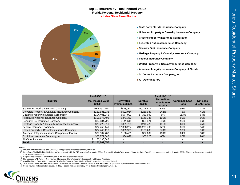#### **Top 10 Insurers by Total Insured Value Florida Personal Residential Property Includes State Farm Florida**



- **State Farm Florida Insurance Company**
- **Universal Property & Casualty Insurance Company**
- **Citizens Property Insurance Corporation**
- **Federated National Insurance Company**
- **Security First Insurance Company**
- **Heritage Property & Casualty Insurance Company**
- **Federal Insurance Company**
- **United Property & Casualty Insurance Company**
- **American Integrity Insurance Company of Florida**
- St. Johns Insurance Company, Inc.
- **All Other Insurers**

|                                                 | As of 03/31/16                       |                                       |                           | As of 12/31/15                                            |                                      |                                |
|-------------------------------------------------|--------------------------------------|---------------------------------------|---------------------------|-----------------------------------------------------------|--------------------------------------|--------------------------------|
| <b>Insurers</b>                                 | <b>Total Insured Value</b><br>(5000) | <b>Net Written</b><br>Premium (\$000) | <b>Surplus</b><br>(\$000) | <b>Net Written</b><br><b>Premium to</b><br><b>Surplus</b> | <b>Combined Loss</b><br><b>Ratio</b> | <b>Net Loss</b><br>& LAE Ratio |
| State Farm Florida Insurance Company            | \$166,191,318                        | \$583.950                             | \$1,033,773               | 56%                                                       | 69%                                  | 42%                            |
| Universal Property & Casualty Insurance Company | \$127,681,936                        | \$622,964                             | \$256.987                 | 242%                                                      | 75%                                  | 41%                            |
| Citizens Property Insurance Corporation         | \$104,401,242                        | \$577,999                             | \$7,389,692               | 8%                                                        | 113%                                 | 64%                            |
| Federated National Insurance Company            | \$101,677,408                        | \$241,362                             | \$145,135                 | 166%                                                      | 90%                                  | 56%                            |
| Security First Insurance Company                | \$82,684,726                         | \$141.645                             | \$55,321                  | 256%                                                      | 96%                                  | 66%                            |
| Heritage Property & Casualty Insurance Company  | \$75,222,019                         | \$391.728                             | \$216,423                 | 181%                                                      | 81%                                  | 45%                            |
| Federal Insurance Company                       | \$74,758,441                         | \$7,338,204                           | \$13,278,705              | 55%                                                       | 85%                                  | 54%                            |
| United Property & Casualty Insurance Company    | \$74,743,110                         | \$369.935                             | \$135,288                 | 273%                                                      | 93%                                  | 56%                            |
| American Integrity Insurance Company of Florida | \$69,537,760                         | \$108.461                             | \$67.639                  | 160%                                                      | 84%                                  | 50%                            |
| St. Johns Insurance Company, Inc.               | \$68,771,548                         | \$34,092                              | \$50,220                  | 68%                                                       | 97%                                  | 96%                            |
| <b>All Other Insurers</b>                       | \$1,176,198,048                      |                                       |                           |                                                           |                                      |                                |
| <b>Total</b>                                    | \$2,121,867,557                      |                                       |                           |                                                           |                                      |                                |

#### **Notes:**

1) Includes admitted insurers (and Citizens) writing personal residential property statewide

2) State Farm Florida filed QUASR data as "trade secret" with the OIR beginning first quarter 2014. This exhibit reflects Total Insured Value for State Farm Florida as reported for fourth quarter 2013. All other values are in 2015 annual statement.

3) Surplus lines companies are not included in the market share calculation

4) Net Loss and LAE Ratio = (Net Incurred Claims and Claim Adjustment Expenses)/ Net Earned Premiums

5) Combined Loss Ratio = Net Loss & LAE Ratio plus Expense Ratio (Underwriting Expense/Net Premiums Written)

6) Total Insured Value indicates Florida Personal Residential business. All other values are on a total company basis as reported in NAIC annual statements.

7) Some insurers write in multiple states. In 2015, Federal had approximately 8% of its direct written premium in FL.

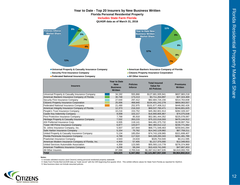### **Year to Date - Top 20 Insurers by New Business Written Florida Personal Residential Property Includes State Farm Florida**

**QUASR data as of March 31, 2016**



**Universal Property & Casualty Insurance Company <b>American Bankers Insurance Company of Florida** 

**Federated National Insurance Company <b>All Other Insurers All Other Insurers** 



**Security First Insurance Company Citizens Property Insurance Corporation**

| <b>Insurers</b>                                    | <b>Year to Date</b><br><b>New</b><br><b>Business</b><br>Written | <b>Policies</b><br><b>Inforce</b> | <b>Total Insured</b><br><b>Value for</b><br><b>All Policies</b> | <b>Premiums</b><br><b>Written</b> |
|----------------------------------------------------|-----------------------------------------------------------------|-----------------------------------|-----------------------------------------------------------------|-----------------------------------|
| Universal Property & Casualty Insurance Company    | 34,192                                                          | 555,866                           | \$127,681,935,941                                               | \$837,983,218                     |
| American Bankers Insurance Company of Florida      | 30,748                                                          | 173,213                           | \$3,711,264,897                                                 | \$37,324,469                      |
| Security First Insurance Company                   | 27,630                                                          | 297,412                           | \$82,684,726,156                                                | \$314,763,838                     |
| Citizens Property Insurance Corporation            | 25,006                                                          | 468,840                           | \$104,401,242,278                                               | \$800,063,557                     |
| <b>Federated National Insurance Company</b>        | 21,490                                                          | 252,975                           | \$101,677,408,312                                               | \$446,082,426                     |
| American Integrity Insurance Company of Florida    | 12,373                                                          | 216,310                           | \$69,537,760,471                                                | \$244,801,625                     |
| People's Trust Insurance Company                   | 10,216                                                          | 153,752                           | \$45,362,601,914                                                | \$282,328,347                     |
| Castle Key Indemnity Company                       | 8,008                                                           | 102,217                           | \$16,900,805,867                                                | \$74,075,638                      |
| First Protective Insurance Company                 | 7,768                                                           | 85.918                            | \$52,081,444,352                                                | \$225,078,087                     |
| Heritage Property & Casualty Insurance Company     | 7,532                                                           | 263,215                           | \$75,222,018,593                                                | \$470,144,912                     |
| ASI Preferred Insurance Corp.                      | 6,935                                                           | 118,141                           | \$44,491,375,732                                                | \$139,997,764                     |
| Tower Hill Prime Insurance Company                 | 6,877                                                           | 143,677                           | \$62,360,012,112                                                | \$230,771,062                     |
| St. Johns Insurance Company, Inc.                  | 5,507                                                           | 167,844                           | \$68,771,548,463                                                | \$259,841,094                     |
| Safe Harbor Insurance Company                      | 5,154                                                           | 75,762                            | \$14,342,129,982                                                | \$67,759,211                      |
| United Property & Casualty Insurance Company       | 5,134                                                           | 185,054                           | \$74,743,109,965                                                | \$321,608,407                     |
| Florida Peninsula Insurance Company                | 4,788                                                           | 117,522                           | \$43,328,283,343                                                | \$261,481,789                     |
| Praetorian Insurance Company                       | 4,543                                                           | 24,634                            | \$326,754,500                                                   | \$4,211,595                       |
| American Modern Insurance Company of Florida, Inc. | 4,459                                                           | 57,405                            | \$1,217,375,000                                                 | \$12,349,653                      |
| United Services Automobile Association             | 4,359                                                           | 123,565                           | \$55,593,110,778                                                | \$276,374,969                     |
| American Traditions Insurance Company              | 4,208                                                           | 58,244                            | \$10,419,741,040                                                | \$47,667,453                      |
| All Other Insurers                                 | 87,098                                                          | 2,705,516                         | \$1,067,012,907,635                                             | \$4,610,093,700                   |
| Total                                              | 324,025                                                         | 6,347,082                         | \$2,121,867,557,330                                             | \$9,964,802,814                   |

**Notes:** 

1) Includes admitted insurers (and Citizens) writing personal residential property statewide

2) State Farm Florida filed QUASR data as "trade secret" with the OIR beginning first quarter 2014. This exhibit reflects values for State Farm Florida as reported for 4Q2013.

3) New business does not include assumed policies

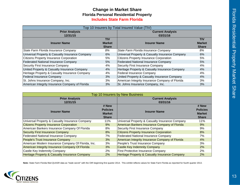## **Change in Market Share Includes State Farm FloridaFlorida Personal Residential Property**

| Top 10 Insurers by Total Insured Value (TIV)    |               |                                                 |               |  |  |  |  |  |  |
|-------------------------------------------------|---------------|-------------------------------------------------|---------------|--|--|--|--|--|--|
| <b>Prior Analysis</b>                           |               | <b>Current Analysis</b>                         |               |  |  |  |  |  |  |
| 12/31/15                                        |               | 03/31/16                                        |               |  |  |  |  |  |  |
|                                                 | <b>TIV</b>    |                                                 | <b>TIV</b>    |  |  |  |  |  |  |
| <b>Insurer Name</b>                             | <b>Market</b> | <b>Insurer Name</b>                             | <b>Market</b> |  |  |  |  |  |  |
|                                                 | <b>Share</b>  |                                                 | <b>Share</b>  |  |  |  |  |  |  |
| State Farm Florida Insurance Company            | 8%            | State Farm Florida Insurance Company            | 8%            |  |  |  |  |  |  |
| Universal Property & Casualty Insurance Company | 6%            | Universal Property & Casualty Insurance Company | 6%            |  |  |  |  |  |  |
| Citizens Property Insurance Corporation         | 5%            | <b>Citizens Property Insurance Corporation</b>  | 5%            |  |  |  |  |  |  |
| <b>Federated National Insurance Company</b>     | 5%            | <b>Federated National Insurance Company</b>     | 5%            |  |  |  |  |  |  |
| Security First Insurance Company                | 4%            | Security First Insurance Company                | 4%            |  |  |  |  |  |  |
| United Property & Casualty Insurance Company    | $4\%$         | Heritage Property & Casualty Insurance Company  | 4%            |  |  |  |  |  |  |
| Heritage Property & Casualty Insurance Company  | 4%            | Federal Insurance Company                       | 4%            |  |  |  |  |  |  |
| <b>Federal Insurance Company</b>                | 3%            | United Property & Casualty Insurance Company    | 4%            |  |  |  |  |  |  |
| St. Johns Insurance Company, Inc.               | 3%            | American Integrity Insurance Company of Florida | 3%            |  |  |  |  |  |  |
| American Integrity Insurance Company of Florida | 3%            | St. Johns Insurance Company, Inc.               | 3%            |  |  |  |  |  |  |

| <b>Top 10 Insurers by New Business</b>                    |                               |                                                           |                               |  |  |  |  |  |  |  |
|-----------------------------------------------------------|-------------------------------|-----------------------------------------------------------|-------------------------------|--|--|--|--|--|--|--|
| <b>Prior Analysis</b>                                     |                               | <b>Current Analysis</b>                                   |                               |  |  |  |  |  |  |  |
| 12/31/15                                                  |                               | 03/31/16                                                  |                               |  |  |  |  |  |  |  |
| <b>Insurer Name</b>                                       | # New<br><b>Policies</b>      | <b>Insurer Name</b>                                       | # New<br><b>Policies</b>      |  |  |  |  |  |  |  |
|                                                           | <b>Market</b><br><b>Share</b> |                                                           | <b>Market</b><br><b>Share</b> |  |  |  |  |  |  |  |
| Universal Property & Casualty Insurance Company           | 11%                           | Universal Property & Casualty Insurance Company           | 11%                           |  |  |  |  |  |  |  |
| <b>Citizens Property Insurance Corporation</b>            | 9%                            | American Bankers Insurance Company of Florida             | 9%                            |  |  |  |  |  |  |  |
| American Bankers Insurance Company Of Florida             | 8%                            | Security First Insurance Company                          | 9%                            |  |  |  |  |  |  |  |
| <b>Security First Insurance Company</b>                   | 8%                            | <b>Citizens Property Insurance Corporation</b>            | 8%                            |  |  |  |  |  |  |  |
| Federated National Insurance Company                      | 7%                            | <b>Federated National Insurance Company</b>               | 7%                            |  |  |  |  |  |  |  |
| People's Trust Insurance Company                          | 3%                            | American Integrity Insurance Company of Florida           | 4%                            |  |  |  |  |  |  |  |
| American Modern Insurance Company Of Florida, Inc.        | 3%                            | People's Trust Insurance Company                          | 3%                            |  |  |  |  |  |  |  |
| American Integrity Insurance Company Of Florida           | 3%                            | Castle Key Indemnity Company                              | $2\%$                         |  |  |  |  |  |  |  |
| Castle Key Indemnity Company                              | 2%                            | First Protective Insurance Company                        | 2%                            |  |  |  |  |  |  |  |
| <b>Heritage Property &amp; Casualty Insurance Company</b> | 2%                            | <b>Heritage Property &amp; Casualty Insurance Company</b> | 2%                            |  |  |  |  |  |  |  |

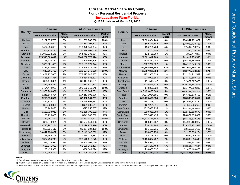## **Citizens' Market Share by County Florida Personal Residential Property**

**Includes State Farm Florida**

**QUASR data as of March 31, 2016**

| <b>County</b>       | <b>Citizens</b>            |                               | <b>All Other Insurers</b>  |                               |                   | <b>Citizens</b>            |                               | <b>All Other Insurers</b>  |                               |
|---------------------|----------------------------|-------------------------------|----------------------------|-------------------------------|-------------------|----------------------------|-------------------------------|----------------------------|-------------------------------|
|                     | <b>Total Insured Value</b> | <b>Market</b><br><b>Share</b> | <b>Total Insured Value</b> | <b>Market</b><br><b>Share</b> | <b>County</b>     | <b>Total Insured Value</b> | <b>Market</b><br><b>Share</b> | <b>Total Insured Value</b> | <b>Market</b><br><b>Share</b> |
| Alachua             | \$107,875,785              | 0%                            | \$21,783,780,858           | 100%                          | Lee               | \$2,569,364,740            | 3%                            | \$96,347,791,057           | 97%                           |
| <b>Baker</b>        | \$11,310,602               | 1%                            | \$1,653,206,547            | 99%                           | Leon              | \$69,844,845               | 0%                            | \$28,052,728,413           | 100%                          |
| Bay                 | \$484,284,075              | 3%                            | \$18,376,541,834           | 97%                           | Levy              | \$94,251,769               | 4%                            | \$2,494,618,267            | 96%                           |
| <b>Bradford</b>     | \$11,734,195               | 1%                            | \$1,499,604,759            | 99%                           | Liberty           | \$3,165,255                | 1%                            | \$336,616,138              | 99%                           |
| <b>Brevard</b>      | \$1,099,322,141            | 2%                            | \$64,962,188,674           | 98%                           | Madison           | \$12,725,259               | 1%                            | \$957,447,803              | 99%                           |
| <b>Broward</b>      | \$15,538,663,419           | 10%                           | \$143,208,572,924          | 90%                           | Manatee           | \$1,081,612,903            | 2%                            | \$42,419,958,540           | 98%                           |
| Calhoun             | \$5,475,787                | 1%                            | \$640,892,496              | 99%                           | Marion            | \$116,277,248              | 0%                            | \$36,836,154,918           | 100%                          |
| Charlotte           | \$630,021,630              | 2%                            | \$25,181,371,044           | 98%                           | Martin            | \$202,702,027              | 1%                            | \$24,115,849,157           | 99%                           |
| Citrus              | \$139,724,686              | 1%                            | \$18,558,444,179           | 99%                           | <b>Miami-Dade</b> | \$26,964,919,958           | 17%                           | \$132,015,984,152          | 83%                           |
| Clay                | \$48,661,755               | 0%                            | \$23,137,275,250           | 100%                          | <b>Monroe</b>     | \$6,697,966,529            | 33%                           | \$13,772,878,512           | 67%                           |
| Collier             | \$1,421,727,600            | 2%                            | \$73,677,248,887           | 98%                           | Nassau            | \$152,906,833              | 1%                            | \$11,124,212,549           | 99%                           |
| Columbia            | \$25,177,354               | 1%                            | \$4,484,686,523            | 99%                           | Okaloosa          | \$278,003,385              | 1%                            | \$23,499,660,401           | 99%                           |
| Desoto              | \$11,473,871               | 1%                            | \$1,917,966,151            | 99%                           | Okeechobee        | \$11,519,842               | 0%                            | \$2,471,327,450            | 100%                          |
| <b>Dixie</b>        | \$21,265,287               | 3%                            | \$613,470,491              | 97%                           | Orange            | \$215,593,139              | 0%                            | \$129,195,197,513          | 100%                          |
| Duval               | \$404,470,938              | 0%                            | \$90,132,319,145           | 100%                          | Osceola           | \$73,306,324               | 0%                            | \$31,774,989,216           | 100%                          |
| Escambia            | \$1,366,946,601            | 4%                            | \$29,169,044,061           | 96%                           | Palm Beach        | \$10,409,403,840           | 5%                            | \$189,787,064,301          | 95%                           |
| Flagler             | \$245,644,384              | 1%                            | \$17,212,692,576           | 99%                           | Pasco             | \$4,271,024,691            | 9%                            | \$43,320,678,799           | 91%                           |
| <b>Franklin</b>     | \$259,673,590              | 11%                           | \$2,032,961,261            | 89%                           | <b>Pinellas</b>   | \$12,479,480,354           | 15%                           | \$73,563,719,612           | 85%                           |
| Gadsden             | \$27,874,700               | $1\%$                         | \$2,779,597,352            | 99%                           | Polk              | \$141,898,977              | 0%                            | \$58,681,112,159           | 100%                          |
| Gilchrist           | \$22,829,361               | 2%                            | \$961,982,347              | 98%                           | Putnam            | \$37,264,911               | 1%                            | \$4,583,696,663            | 99%                           |
| Glades              | \$5,165,470                | $1\%$                         | \$517,255,257              | 99%                           | Saint Johns       | \$317,838,935              | 1%                            | \$38,352,968,651           | 99%                           |
| Gulf                | \$122,718,013              | 6%                            | \$1,858,792,672            | 94%                           | Saint Lucie       | \$299,365,390              | 1%                            | \$32,433,698,577           | 99%                           |
| Hamilton            | \$3,715,460                | 1%                            | \$541,742,202              | 99%                           | Santa Rosa        | \$392,013,498              | 2%                            | \$20,022,975,031           | 98%                           |
| Hardee              | \$4,261,267                | 0%                            | \$1,267,029,923            | 100%                          | Sarasota          | \$5,214,153,384            | 7%                            | \$65,498,339,176           | 93%                           |
| Hendry              | \$24,879,961               | 2%                            | \$1,554,841,003            | 98%                           | Seminole          | \$80,335,457               | 0%                            | \$54,986,128,937           | 100%                          |
| Hernando            | \$3,796,297,154            | 20%                           | \$15,126,877,416           | 80%                           | Sumter            | \$20,174,985               | 0%                            | \$19,373,151,547           | 100%                          |
| Highlands           | \$25,731,110               | 0%                            | \$9,967,234,453            | 100%                          | Suwannee          | \$16,692,715               | 1%                            | \$2,195,711,622            | 99%                           |
| Hillsborough        | \$3,647,904,492            | 3%                            | \$117,143,146,252          | 97%                           | Taylor            | \$30,480,750               | 3%                            | \$1,178,538,254            | 97%                           |
| Holmes              | \$5,799,144                | $1\%$                         | \$964,116,582              | 99%                           | Union             | \$2,798,950                | 0%                            | \$569,069,421              | 100%                          |
| <b>Indian River</b> | \$364,794,243              | 2%                            | \$23,542,618,773           | 98%                           | Volusia           | \$1,186,807,427            | 2%                            | \$60,090,094,443           | 98%                           |
| Jackson             | \$23,028,525               | $1\%$                         | \$2,900,509,720            | 99%                           | Wakulla           | \$48,571,520               | 2%                            | \$2,537,252,891            | 98%                           |
| Jefferson           | \$11,241,820               | 1%                            | \$1,129,166,493            | 99%                           | Walton            | \$896,147,468              | 6%                            | \$13,501,947,644           | 94%                           |
| Lafayette           | \$3,435,366                | 1%                            | \$358,344,974              | 99%                           | Washington        | \$10,036,837               | 1%                            | \$1,423,460,456            | 99%                           |
| Lake                | \$79,462,347               | 0%                            | \$41,095,769,705           | 100%                          | <b>Total</b>      | \$104,401,242,278          | 5%                            | \$2,017,466,315,052        | 95%                           |

1) Counties are bolded when Citizens' market share is 10% or greater in that county

2) Market share is based on all policies, not just those that include wind. For Monroe county, Citizens carries the wind portion for most of the policies.

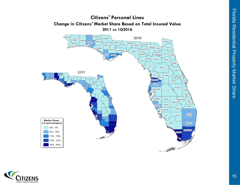

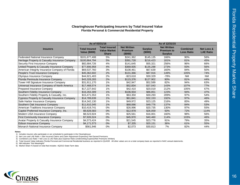## **Clearinghouse Participating Insurers by Total Insured Value Florida Personal & Commercial Residential Property**

|                                                 | As of 03/31/16                               |                                                             | As of 12/31/15                                  |                           |                                                           |                                      |                                |  |  |
|-------------------------------------------------|----------------------------------------------|-------------------------------------------------------------|-------------------------------------------------|---------------------------|-----------------------------------------------------------|--------------------------------------|--------------------------------|--|--|
| <b>Insurers</b>                                 | <b>Total Insured</b><br><b>Value (\$000)</b> | <b>Total Insured</b><br><b>Value Market</b><br><b>Share</b> | <b>Net Written</b><br><b>Premium</b><br>(\$000) | <b>Surplus</b><br>(\$000) | <b>Net Written</b><br><b>Premium to</b><br><b>Surplus</b> | <b>Combined</b><br><b>Loss Ratio</b> | Net Loss &<br><b>LAE Ratio</b> |  |  |
| Federated National Insurance Company            | \$101,677,408                                | 5%                                                          | \$241.362                                       | \$145,135                 | 166%                                                      | 90%                                  | 56%                            |  |  |
| Heritage Property & Casualty Insurance Company  | \$100,864,794                                | 5%                                                          | \$391.728                                       | \$216,423                 | 181%                                                      | 81%                                  | 45%                            |  |  |
| Security First Insurance Company                | \$82,684,726                                 | 4%                                                          | \$141,645                                       | \$55,321                  | 256%                                                      | 96%                                  | 66%                            |  |  |
| United Property & Casualty Insurance Company    | \$77,806,958                                 | 4%                                                          | \$369,935                                       | \$135,288                 | 273%                                                      | 93%                                  | 56%                            |  |  |
| American Integrity Insurance Company of Florida | \$69,537,760                                 | 3%                                                          | \$108,461                                       | \$67,639                  | 160%                                                      | 84%                                  | 50%                            |  |  |
| People's Trust Insurance Company                | \$45,362,602                                 | 2%                                                          | \$131,366                                       | \$87,916                  | 149%                                                      | 105%                                 | 74%                            |  |  |
| Olympus Insurance Company                       | \$44,921,403                                 | 2%                                                          | $-$ \$23,618                                    | \$30,329                  | $-78%$                                                    | <b>NM</b>                            | <b>NM</b>                      |  |  |
| Florida Peninsula Insurance Company             | \$43,328,283                                 | 2%                                                          | \$115,376                                       | \$127,902                 | 90%                                                       | 81%                                  | 44%                            |  |  |
| Tower Hill Signature Insurance Company          | \$31,911,170                                 | 1%                                                          | \$42,947                                        | \$52,589                  | 82%                                                       | 94%                                  | 63%                            |  |  |
| Universal Insurance Company of North America    | \$17,468,574                                 | 1%                                                          | \$52,834                                        | \$37,043                  | 143%                                                      | 107%                                 | 77%                            |  |  |
| Prepared Insurance Company                      | \$17,227,642                                 | 1%                                                          | \$42,410                                        | \$20,019                  | 212%                                                      | 105%                                 | 67%                            |  |  |
| Southern Fidelity Insurance Company             | \$16,263,309                                 | 1%                                                          | \$106,934                                       | \$86,851                  | 123%                                                      | 94%                                  | 47%                            |  |  |
| Southern Fidelity Property & Casualty, Inc.     | \$15,471,553                                 | 1%                                                          | \$63,350                                        | \$30,293                  | 209%                                                      | 97%                                  | 54%                            |  |  |
| Cypress Property & Casualty Insurance Company   | \$14,789,639                                 | 1%                                                          | \$61,841                                        | \$32,153                  | 192%                                                      | 97%                                  | 46%                            |  |  |
| Safe Harbor Insurance Company                   | \$14,342,130                                 | 1%                                                          | \$49,972                                        | \$23,125                  | 216%                                                      | 85%                                  | 49%                            |  |  |
| Southern Oak Insurance Company                  | \$11,610,345                                 | 1%                                                          | \$68,066                                        | \$49,776                  | 137%                                                      | 84%                                  | 53%                            |  |  |
| American Traditions Insurance Company           | \$10,419,741                                 | 0%                                                          | \$26,996                                        | \$20,735                  | 130%                                                      | 97%                                  | 55%                            |  |  |
| Capitol Preferred Insurance Company, Inc.       | \$9,828,583                                  | 0%                                                          | \$12,978                                        | \$26,059                  | 50%                                                       | 72%                                  | 114%                           |  |  |
| Modern USA Insurance Company                    | \$8,523,924                                  | 0%                                                          | \$25,561                                        | \$16,001                  | 160%                                                      | 98%                                  | 56%                            |  |  |
| <b>First Community Insurance Company</b>        | \$7,926,524                                  | 0%                                                          | \$45,970                                        | \$40,460                  | 114%                                                      | 103%                                 | 46%                            |  |  |
| Avatar Property & Casualty Insurance Company    | \$4,573,424                                  | 0%                                                          | \$21,545                                        | \$23,776                  | 91%                                                       | 79%                                  | 35%                            |  |  |
| Edison Insurance Company                        | \$4,171,573                                  | 0%                                                          | \$7,335                                         | \$20,151                  | 36%                                                       | 61%                                  | 55%                            |  |  |
| Monarch National Insurance Company              | \$561,946                                    | 0%                                                          | \$2,073                                         | \$30,813                  | 7%                                                        | 82%                                  | 44%                            |  |  |

**Notes:** 

1) Includes insurers who participate or are scheduled to participate in the Clearinghouse

2) Net Loss and LAE Ratio = (Net Incurred Claims and Claim Adjustment Expenses)/ Net Earned Premiums

3) Combined Loss Ratio = Net Loss & LAE Ratio plus Expense Ratio (Underwriting Expense/Net Premiums Written)

4) Total Insured Value indicates Florida Personal and Commercial Residential business as reported in QUASR. All other values are on a total company basis as reported in NAIC annual statements.

5) NM indicates "Not Meaningful"

6) Market Share % based on total that includes 4Q2013 State Farm data

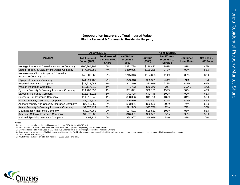## **Depopulation Insurers by Total Insured Value Florida Personal & Commercial Residential Property**

|                                                                  |                                              | As of 03/31/16                                              | As of 12/31/15                                  |                          |                                                           |                                      |                                |  |  |  |
|------------------------------------------------------------------|----------------------------------------------|-------------------------------------------------------------|-------------------------------------------------|--------------------------|-----------------------------------------------------------|--------------------------------------|--------------------------------|--|--|--|
| <b>Insurers</b>                                                  | <b>Total Insured</b><br><b>Value (\$000)</b> | <b>Total Insured</b><br><b>Value Market</b><br><b>Share</b> | <b>Net Written</b><br><b>Premium</b><br>(\$000) | <b>Surplus</b><br>(5000) | <b>Net Written</b><br><b>Premium to</b><br><b>Surplus</b> | <b>Combined</b><br><b>Loss Ratio</b> | Net Loss &<br><b>LAE Ratio</b> |  |  |  |
| Heritage Property & Casualty Insurance Company                   | \$100,864,794                                | 5%                                                          | \$391,728                                       | \$216,423                | 181%                                                      | 81%                                  | 45%                            |  |  |  |
| United Property & Casualty Insurance Company                     | \$77,806,958                                 | 4%                                                          | \$369,935                                       | \$135,288                | 273%                                                      | 93%                                  | 56%                            |  |  |  |
| Homeowners Choice Property & Casualty<br>Insurance Company, Inc. | \$48,800,366                                 | 2%                                                          | \$215,816                                       | \$194,893                | 111%                                                      | 82%                                  | 37%                            |  |  |  |
| Olympus Insurance Company                                        | \$44,921,403                                 | 2%                                                          | $-$ \$23,618                                    | \$30,329                 | $-78%$                                                    | <b>NM</b>                            | <b>NM</b>                      |  |  |  |
| Prepared Insurance Company                                       | \$17,227,642                                 | 1%                                                          | \$42,410                                        | \$20,019                 | 212%                                                      | 105%                                 | 67%                            |  |  |  |
| <b>Weston Insurance Company</b>                                  | \$15,117,819                                 | 1%                                                          | \$723                                           | \$46,370                 | 2%                                                        | $-357%$                              | 116%                           |  |  |  |
| Cypress Property & Casualty Insurance Company                    | \$14,789,639                                 | 1%                                                          | \$61,841                                        | \$32,153                 | 192%                                                      | 97%                                  | 46%                            |  |  |  |
| Safepoint Insurance Company                                      | \$13,875,928                                 | 1%                                                          | \$41,708                                        | \$41,745                 | 100%                                                      | 92%                                  | 68%                            |  |  |  |
| Southern Oak Insurance Company                                   | \$11,610,345                                 | 1%                                                          | \$68,066                                        | \$49,776                 | 137%                                                      | 84%                                  | 53%                            |  |  |  |
| <b>First Community Insurance Company</b>                         | \$7,926,524                                  | 0%                                                          | \$45,970                                        | \$40,460                 | 114%                                                      | 103%                                 | 46%                            |  |  |  |
| Anchor Property And Casualty Insurance Company                   | \$7,015,950                                  | $0\%$                                                       | \$53,981                                        | \$26,639                 | 203%                                                      | 74%                                  | 52%                            |  |  |  |
| Avatar Property & Casualty Insurance Company                     | \$4,573,424                                  | 0%                                                          | \$21,545                                        | \$23,776                 | 91%                                                       | 79%                                  | 35%                            |  |  |  |
| Mount Beacon Insurance Company                                   | \$4,037,062                                  | $0\%$                                                       | \$27,521                                        | \$25,551                 | 108%                                                      | 95%                                  | 86%                            |  |  |  |
| American Colonial Insurance Company                              | \$1,072,085                                  | $0\%$                                                       | \$16,601                                        | \$22,523                 | 74%                                                       | 99%                                  | 58%                            |  |  |  |
| National Specialty Insurance Company                             | \$492,124                                    | 0%                                                          | \$24,967                                        | \$46,019                 | 54%                                                       | 87%                                  | 0%                             |  |  |  |

#### **Notes:**

1) Includes insurers who participated in depopulation from 01/01/2015 to 03/31/2016

2) Net Loss and LAE Ratio = (Net Incurred Claims and Claim Adjustment Expenses)/ Net Earned Premiums

3) Combined Loss Ratio = Net Loss & LAE Ratio plus Expense Ratio (Underwriting Expense/Net Premiums Written)

4) Total Insured Value indicates Florida Personal and Commercial Residential business as reported in QUASR. All other values are on a total company basis as reported in NAIC annual statements.

5) NM indicates "Not Meaningful"

6) Market Share % based on total that includes 4Q2013 State Farm data

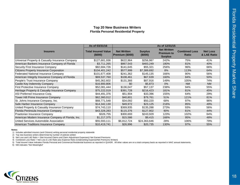## **Top 20 New Business Writers Florida Personal Residential Property**

|                                                    | As of 03/31/16                        |                                       |                           | As of 12/31/15                                            |                               |                                |
|----------------------------------------------------|---------------------------------------|---------------------------------------|---------------------------|-----------------------------------------------------------|-------------------------------|--------------------------------|
| <b>Insurers</b>                                    | <b>Total Insured Value</b><br>(\$000) | <b>Net Written</b><br>Premium (\$000) | <b>Surplus</b><br>(\$000) | <b>Net Written</b><br><b>Premium to</b><br><b>Surplus</b> | <b>Combined Loss</b><br>Ratio | <b>Net Loss</b><br>& LAE Ratio |
| Universal Property & Casualty Insurance Company    | \$127,681,936                         | \$622,964                             | \$256,987                 | 242%                                                      | 75%                           | 41%                            |
| American Bankers Insurance Company of Florida      | \$3,711,265                           | \$867,543                             | \$483,249                 | 180%                                                      | 81%                           | 40%                            |
| Security First Insurance Company                   | \$82,684,726                          | \$141,645                             | \$55,321                  | 256%                                                      | 96%                           | 66%                            |
| Citizens Property Insurance Corporation            | \$104,401,242                         | \$577,999                             | \$7,389,692               | 8%                                                        | 113%                          | 64%                            |
| Federated National Insurance Company               | \$101,677,408                         | \$241,362                             | \$145,135                 | 166%                                                      | 90%                           | 56%                            |
| American Integrity Insurance Company of Florida    | \$69,537,760                          | \$108,461                             | \$67,639                  | 160%                                                      | 84%                           | 50%                            |
| People's Trust Insurance Company                   | \$45,362,602                          | \$131,366                             | \$87,916                  | 149%                                                      | 105%                          | 74%                            |
| Castle Key Indemnity Company                       | \$16,900,806                          | \$0                                   | \$5,873                   | $0\%$                                                     | <b>NM</b>                     | <b>NM</b>                      |
| First Protective Insurance Company                 | \$52,081,444                          | \$136,047                             | \$57,137                  | 238%                                                      | 94%                           | 55%                            |
| Heritage Property & Casualty Insurance Company     | \$75,222,019                          | \$391,728                             | \$216,423                 | 181%                                                      | 81%                           | 45%                            |
| ASI Preferred Insurance Corp.                      | \$44,491,376                          | \$51,904                              | \$33,396                  | 155%                                                      | 64%                           | 29%                            |
| Tower Hill Prime Insurance Company                 | \$62,360,012                          | \$40,801                              | \$79,761                  | 51%                                                       | 121%                          | 81%                            |
| St. Johns Insurance Company, Inc.                  | \$68,771,548                          | \$34,092                              | \$50,220                  | 68%                                                       | 97%                           | 96%                            |
| Safe Harbor Insurance Company                      | \$14,342,130                          | \$49,972                              | \$23,125                  | 216%                                                      | 85%                           | 49%                            |
| United Property & Casualty Insurance Company       | \$74,743,110                          | \$369,935                             | \$135,288                 | 273%                                                      | 93%                           | 56%                            |
| Florida Peninsula Insurance Company                | \$43,328,283                          | \$115,376                             | \$127,902                 | 90%                                                       | 81%                           | 44%                            |
| Praetorian Insurance Company                       | \$326,755                             | \$300,693                             | \$243,929                 | 123%                                                      | 102%                          | 64%                            |
| American Modern Insurance Company of Florida, Inc. | \$1,217,375                           | \$15,586                              | \$9,415                   | 166%                                                      | 95%                           | 48%                            |
| United Services Automobile Association             | \$55,593,111                          | \$6,812,724                           | \$24,363,646              | 28%                                                       | 106%                          | 79%                            |
| American Traditions Insurance Company              | \$10,419,741                          | \$26,996                              | \$20,735                  | 130%                                                      | 97%                           | 55%                            |

#### **Notes:**

1) Includes admitted insurers (and Citizens) writing personal residential property statewide

2) Top new business writers determined by number of policies written

3) Net Loss and LAE Ratio = (Net Incurred Claims and Claim Adjustment Expenses)/ Net Earned Premiums

4) Combined Loss Ratio = Net Loss & LAE Ratio plus Expense Ratio (Underwriting Expense/Net Premiums Written)

5) Total Insured Value indicates Florida Personal and Commercial Residential business as reported in QUASR. All other values are on a total company basis as reported in NAIC annual statements.

6) NM indicates "Not Meaningful"

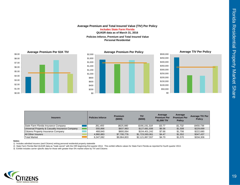#### **Average Premium and Total Insured Value (TIV) Per Policy QUASR data as of March 31, 2016 Policies Inforce, Premium and Total Insured Value Personal ResidentialIncludes State Farm Florida**







| <b>Insurers</b>                                 | <b>Policies Inforce</b> | <b>Premium</b><br>(\$000) | TIV<br>(\$000)  | Average<br><b>Premium Per</b><br>\$1,000 TIV | Average<br><b>Premium Per</b><br><b>Policy</b> | <b>Average TIV Per</b><br><b>Policy</b> |
|-------------------------------------------------|-------------------------|---------------------------|-----------------|----------------------------------------------|------------------------------------------------|-----------------------------------------|
| State Farm Florida Insurance Company            | 361.493                 | \$625.980                 | \$166,191,318   | \$3.77                                       | \$1.732                                        | \$459.736                               |
| Universal Property & Casualty Insurance Company | 555.866                 | \$837,983                 | \$127,681,936   | \$6.56                                       | \$1,508                                        | \$229.699                               |
| Citizens Property Insurance Company             | 468.840                 | \$800.064                 | \$104.401.242   | \$7.66                                       | \$1.706                                        | \$222,680                               |
| <b>All Other Insurers</b>                       | 4.960.883               | \$7,700,776               | \$1.723.593.061 | \$4.47                                       | \$1.552                                        | \$347.437                               |
| <b>Total Market</b>                             | 6.347.082               | \$9,964,803               | \$2,121,867,557 | \$4.70                                       | \$1,570                                        | \$334,306                               |

#### **Notes:**

1) Includes admitted insurers (and Citizens) writing personal residential property statewide

2) State Farm Florida filed QUASR data as "trade secret" with the OIR beginning first quarter 2014. This exhibit reflects values for State Farm Florida as reported for fourth quarter 2013.

3) Exhibit includes carrier specific data for those with greater than 5% market share by TIV and Citizens

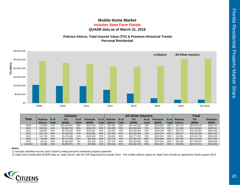## **Mobile Home MarketQUASR data as of March 31, 2016 Includes State Farm Florida**

## **Policies Inforce, Total Insured Value (TIV) & Premium Historical Trends Personal Residential**



|         |                 |        | <b>Citizens</b> |        |           |       | <b>All Other Insurers</b> |              |              |       |                |       | Total           |              |                |
|---------|-----------------|--------|-----------------|--------|-----------|-------|---------------------------|--------------|--------------|-------|----------------|-------|-----------------|--------------|----------------|
| Year    | <b>Policies</b> | $%$ of | TIV             | $%$ of | Premium   | % of  | <b>Policies</b>           | $%$ of       | TIV          | % of  | <b>Premium</b> | % of  | <b>Policies</b> | <b>TIV</b>   | <b>Premium</b> |
|         | <b>Inforce</b>  | Total  | (\$000)         | Total  | (5000)    | Total | <b>Inforce</b>            | <b>Total</b> | (\$000)      | Total | (\$000)        | Total | <b>Inforce</b>  | (\$000)      | (\$000)        |
| 2009    | 173.895         | 41%    | \$10.484.897    | 30%    | \$161.916 | 41%   | 252.281                   | 59%          | \$24.148.322 | 70%   | \$233,300      | 59%   | 426.176         | \$34.633.220 | \$395,216      |
| 2010    | 166.613         | 41%    | \$9,880,752     | 30%    | \$156,278 | 40%   | 244.450                   | 59%          | \$23,282,860 | 70%   | \$230,733      | 60%   | 411.063         | \$33,163,612 | \$387,011      |
| 2011    | 166.967         | 42%    | \$9,792,363     | 30%    | \$161.827 | 41%   | 233.303                   | 58%          | \$22,426,304 | 70%   | \$228,429      | 59%   | 400.270         | \$32,218,667 | \$390,256      |
| 2012    | 145.725         | 39%    | \$7.663.538     | 27%    | \$135,581 | 38%   | 223.502                   | 61%          | \$21.081.554 | 73%   | \$225.761      | 62%   | 369.227         | \$28,745,093 | \$361,343      |
| 2013    | 124.749         | 36%    | \$5,479,406     | 21%    | \$106,266 | 32%   | 218.642                   | 64%          | \$20,777,333 | 79%   | \$225.631      | 68%   | 343.391         | \$26,256,739 | \$331,898      |
| 2014    | 78.646          | 26%    | \$2,777,156     | 12%    | \$51.929  | 19%   | 225.134                   | 74%          | \$21.367.547 | 88%   | \$225.606      | 81%   | 303.780         | \$24,144,702 | \$277,535      |
| 2015    | 53.144          | 15%    | \$1.944.918     | 7%     | \$33.125  | 11%   | 297.144                   | 85%          | \$25.304.955 | 93%   | \$275.814      | 89%   | 350.288         | \$27.249.874 | \$308,939      |
| 1Q 2016 | 52,586          | 15%    | \$1,965,781     | 7%     | \$32,593  | 10%   | 296.419                   | 85%          | \$25,381,750 | 93%   | \$281,167      | 90%   | 349.005         | \$27,347,531 | \$313,760      |

#### **Notes:**

1) Includes admitted insurers (and Citizens) writing personal residential property statewide

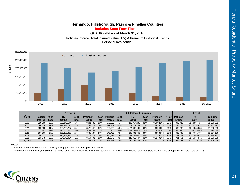## **Hernando, Hillsborough, Pasco & Pinellas Counties QUASR data as of March 31, 2016 Includes State Farm Florida**

 **Policies Inforce, Total Insured Value (TIV) & Premium Historical Trends Personal Residential**



|         |                 | <b>Citizens</b> |              |              |           |       |                 | <b>All Other Insurers</b> |               |        | <b>Total</b>   |       |                 |               |                |
|---------|-----------------|-----------------|--------------|--------------|-----------|-------|-----------------|---------------------------|---------------|--------|----------------|-------|-----------------|---------------|----------------|
| Year    | <b>Policies</b> | $%$ of          | <b>TIV</b>   | % of         | Premium   | % of  | <b>Policies</b> | $%$ of                    | TIV           | $%$ of | <b>Premium</b> | % of  | <b>Policies</b> | <b>TIV</b>    | <b>Premium</b> |
|         | <b>Inforce</b>  | Total           | (\$000)      | <b>Total</b> | (\$000)   | Total | <b>Inforce</b>  | Total                     | (\$000)       | Total  | (\$000)        | Total | <b>Inforce</b>  | (\$000)       | (\$000)        |
| 2009    | 219.000         | 25%             | \$50,847,144 | 18%          | \$281,586 | 22%   | 673.326         | 75%                       | \$232.057.283 | 82%    | \$1,002,106    | 78%   | 892.326         | \$282,904,427 | \$1,283,692    |
| 2010    | 296.116         | 33%             | \$73.856.774 | 27%          | \$396,317 | 30%   | 588.293         | 67%                       | \$201.478.803 | 73%    | \$915.214      | 70%   | 884.409         | \$275.335.577 | \$1,311,531    |
| 2011    | 359.532         | 41%             | \$95,223,257 | 35%          | \$526,347 | 39%   | 520.755         | 59%                       | \$174,665,001 | 65%    | \$824.621      | 61%   | 880.287         | \$269,888,258 | \$1,350,968    |
| 2012    | 325.791         | 37%             | \$78,004.034 | 30%          | \$449,469 | 35%   | 554.255         | 63%                       | \$182.731.011 | 70%    | \$850.141      | 65%   | 880.046         | \$260,735,045 | \$1,299,610    |
| 2013    | 237.566         | 27%             | \$50,289.899 | 20%          | \$338.237 | 25%   | 645.422         | 73%                       | \$206.391.840 | 80%    | \$998.864      | 75%   | 882.988         | \$256.681.739 | \$1,337,100    |
| 2014    | 145.721         | 16%             | \$30,245,652 | 12%          | \$215,777 | 16%   | 752.686         | 84%                       | \$231.824.020 | 88%    | \$1,149,084    | 84%   | 898.407         | \$262,069,673 | \$1,364,862    |
| 2015    | 113.375         | 12%             | \$24.542.024 | 9%           | \$154.691 | 12%   | 818.376         | 88%                       | \$246.812.547 | 91%    | \$1.179.264    | 88%   | 931.751         | \$271,354,571 | \$1,333,955    |
| 1Q 2016 | 111.145         | 12%             | \$24,194,707 | 9%           | \$148,912 | 11%   | 823.223         | 88%                       | \$249,154,422 | 91%    | \$1,177,335    | 89%   | 934.368         | \$273,349,129 | \$1,326,246    |

**Notes:** 

1) Includes admitted insurers (and Citizens) writing personal residential property statewide

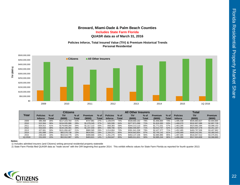## **Broward, Miami-Dade & Palm Beach Counties QUASR data as of March 31, 2016 Includes State Farm Florida**

### **Policies Inforce, Total Insured Value (TIV) & Premium Historical Trends Personal Residential**



|         |                 | Citizens |               |              |                |       | <b>All Other Insurers</b> |        |               | Total        |                |        |                 |               |                |
|---------|-----------------|----------|---------------|--------------|----------------|-------|---------------------------|--------|---------------|--------------|----------------|--------|-----------------|---------------|----------------|
| Year    | <b>Policies</b> | $%$ of   | <b>TIV</b>    | % of         | <b>Premium</b> | % of  | <b>Policies</b>           | $%$ of | ΤΙV           | % of         | <b>Premium</b> | $%$ of | <b>Policies</b> | <b>TIV</b>    | <b>Premium</b> |
|         | <b>Inforce</b>  | Total    | (5000)        | <b>Total</b> | (\$000)        | Total | <b>Inforce</b>            | Total  | (\$000)       | <b>Total</b> | (5000)         | Total  | <b>Inforce</b>  | (\$000)       | (\$000)        |
| 2009    | 385.468         | 26%      | \$117,223,764 | 21%          | \$737,981      | 27%   | .109.970                  | 74%    | \$428,660,162 | 79%          | \$1,956,884    | 73%    | .495,438        | \$545,883,927 | \$2,694,865    |
| 2010    | 522.564         | 36%      | \$154,935,986 | 29%          | \$1,078,345    | 37%   | 945,506                   | 64%    | \$377.871.099 | 71%          | \$1.819.383    | 63%    | 1.468.070       | \$532,807,086 | \$2,897,728    |
| 2011    | 604.912         | 41%      | \$179.669.284 | 34%          | \$1.317.122    | 43%   | 858.383                   | 59%    | \$344,213,110 | 66%          | \$1.771.031    | 57%    | .463.295        | \$523,882,394 | \$3,088,153    |
| 2012    | 553.644         | 38%      | \$144,106,381 | 29%          | \$1,237,440    | 38%   | 899,706                   | 62%    | \$360,400.897 | 71%          | \$2.013.747    | 62%    | 1.453.350       | \$504,507,278 | \$3,251,187    |
| 2013    | 437.681         | 30%      | \$101.856.467 | 21%          | \$980,585      | 29%   | 1.014.804                 | 70%    | \$391,941,038 | 79%          | \$2,427,377    | 71%    | .452,485        | \$493,797,506 | \$3,407,962    |
| 2014    | 291.698         | 20%      | \$65,578,738  | 13%          | \$634,901      | 19%   | .164.371                  | 80%    | \$434,663,854 | 87%          | \$2,745,142    | 81%    | 1.456.069       | \$500.242.591 | \$3,380,043    |
| 2015    | 236.029         | 16%      | \$53,519,775  | 10%          | \$489.666      | 15%   | 1.261.276                 | 84%    | \$463.137.236 | 90%          | \$2.885.985    | 85%    | 1.497.305       | \$516,657,012 | \$3,375,651    |
| 1Q 2016 | 231.633         | 15%      | \$52.912.987  | 10%          | \$483.621      | 14%   | 1.264.647                 | 85%    | \$465.011.621 | 90%          | \$2.885.244    | 86%    | 1.496.280       | \$517,924,609 | \$3,368,865    |

#### **Notes:**

1) Includes admitted insurers (and Citizens) writing personal residential property statewide

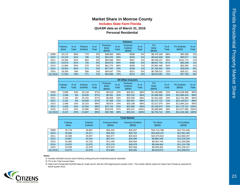## **Market Share in Monroe County**

**Includes State Farm Florida**

## **Personal Residential QUASR data as of March 31, 2016**

|         |                         |                 |                           |                 |                            |               | <b>Citizens</b>                     |                 |                       |                 |                             |                        |
|---------|-------------------------|-----------------|---------------------------|-----------------|----------------------------|---------------|-------------------------------------|-----------------|-----------------------|-----------------|-----------------------------|------------------------|
|         | <b>Policies</b><br>Wind | $%$ of<br>Total | <b>Policies</b><br>ExWind | $%$ of<br>Total | Premium<br>Wind<br>(\$000) | % of<br>Total | Premium<br><b>ExWind</b><br>(\$000) | $%$ of<br>Total | TIV<br>Wind<br>(S000) | $%$ of<br>Total | <b>TIV ExWind</b><br>(S000) | $%$ of<br><b>Total</b> |
| 2009    | 23.172                  | 90%             | 779                       | 3%              | \$48,583                   | 88%           | \$596                               | 2%              | \$9,475,108           | 88%             | \$92,339                    | 1%                     |
| 2010    | 23.370                  | 91%             | 788                       | 3%              | \$53,233                   | 90%           | \$530                               | 2%              | \$9,543,638           | 90%             | \$90,977                    | 1%                     |
| 2011    | 23,393                  | 92%             | 804                       | 3%              | \$56,568                   | 90%           | \$567                               | 2%              | \$9,539,157           | 90%             | \$101.774                   | 1%                     |
| 2012    | 22.676                  | 91%             | 705                       | 3%              | \$59,876                   | 89%           | \$489                               | 2%              | \$8,607,726           | 87%             | \$83,338                    | 1%                     |
| 2013    | 21.884                  | 90%             | 579                       | 2%              | \$61,275                   | 86%           | \$358                               | 1%              | \$7,864,169           | 84%             | \$62,365                    | 1%                     |
| 2014    | 19.944                  | 84%             | 371                       | 2%              | \$57,432                   | 78%           | \$189                               | 1%              | \$7,106.491           | 76%             | \$39,049                    | 0%                     |
| 2015    | 18,266                  | 78%             | 289                       | 1%              | \$54,547                   | 73%           | \$121                               | 0%              | \$6,768,512           | 72%             | \$28,311                    | 0%                     |
| 1Q 2016 | 17,916                  | 78%             | 271                       | 1%              | \$54,066                   | 72%           | \$114                               | 0%              | \$6,670,261           | 71%             | \$27,706                    | 0%                     |

|         | <b>All Other Insurers</b> |                 |                           |                 |                                   |               |                                   |                 |                      |                 |                              |                 |
|---------|---------------------------|-----------------|---------------------------|-----------------|-----------------------------------|---------------|-----------------------------------|-----------------|----------------------|-----------------|------------------------------|-----------------|
|         | <b>Policies</b><br>Wind   | $%$ of<br>Total | <b>Policies</b><br>ExWind | $%$ of<br>Total | <b>Premium</b><br>Wind<br>(\$000) | % of<br>Total | Premium<br><b>ExWind</b><br>(000) | $%$ of<br>Total | TIV<br>Wind<br>(000) | $%$ of<br>Total | <b>TIV ExWind</b><br>(\$000) | $%$ of<br>Total |
| 2009    | 2.606                     | 10%             | 26.118                    | 97%             | \$6.519                           | 12%           | \$25.611                          | 98%             | \$1.240.680          | 12%             | \$12,649,306                 | 99%             |
| 2010    | 2,286                     | 9%              | 25,629                    | 97%             | \$6.091                           | 10%           | \$25,232                          | 98%             | \$1,085,560          | 10%             | \$12,860,424                 | 99%             |
| 2011    | 2,165                     | 8%              | 25,153                    | 97%             | \$6,009                           | 10%           | \$25,356                          | 98%             | \$1,031,466          | 10%             | \$12,701,483                 | 99%             |
| 2012    | 2,181                     | 9%              | 24,639                    | 97%             | \$7,338                           | 11%           | \$26,001                          | 98%             | \$1,277,722          | 13%             | \$12,145,817                 | 99%             |
| 2013    | 2.498                     | 10%             | 24.153                    | 98%             | \$9.874                           | 14%           | \$26.198                          | 99%             | \$1.527.576          | 16%             | \$11.864.224                 | 99%             |
| 2014    | 3.926                     | 16%             | 22.504                    | 98%             | \$15,745                          | 22%           | \$25,890                          | 99%             | \$2,239,974          | 24%             | \$11,175,741                 | 100%            |
| 2015    | 5.070                     | 22%             | 22.090                    | 99%             | \$19,976                          | 27%           | \$25,237                          | 100%            | \$2,689,890          | 28%             | \$11,077,906                 | 100%            |
| 1Q 2016 | 5.157                     | 22%             | 21.807                    | 99%             | \$20,788                          | 28%           | \$25,151                          | 100%            | \$2,753,712          | 29%             | \$11.019.166                 | 100%            |

|         | <b>Total Market</b>     |                                  |                               |                                 |                           |                             |  |  |  |  |  |  |
|---------|-------------------------|----------------------------------|-------------------------------|---------------------------------|---------------------------|-----------------------------|--|--|--|--|--|--|
|         | <b>Policies</b><br>Wind | <b>Policies</b><br><b>ExWind</b> | <b>Premium Wind</b><br>(S000) | <b>Premium ExWind</b><br>(5000) | <b>TIV Wind</b><br>(5000) | <b>TIV ExWind</b><br>(0,00) |  |  |  |  |  |  |
| 2009    | 25.778                  | 26.897                           | \$55,102                      | \$26.207                        | \$10.715.788              | \$12,741,646                |  |  |  |  |  |  |
| 2010    | 25.656                  | 26.417                           | \$59,324                      | \$25,762                        | \$10,629,197              | \$12,951,402                |  |  |  |  |  |  |
| 2011    | 25.558                  | 25,957                           | \$62,577                      | \$25,923                        | \$10,570,623              | \$12,803,257                |  |  |  |  |  |  |
| 2012    | 24.857                  | 25.344                           | \$67,214                      | \$26,489                        | \$9,885,448               | \$12,229,155                |  |  |  |  |  |  |
| 2013    | 24.382                  | 24,732                           | \$71.149                      | \$26,556                        | \$9.391.745               | \$11,926,589                |  |  |  |  |  |  |
| 2014    | 23,870                  | 22,875                           | \$73,178                      | \$26,079                        | \$9,346,464               | \$11,214,790                |  |  |  |  |  |  |
| 2015    | 23,336                  | 22,379                           | \$74.523                      | \$25,358                        | \$9,458,402               | \$11,106,217                |  |  |  |  |  |  |
| 1Q 2016 | 23.073                  | 22.078                           | \$74.855                      | \$25,265                        | \$9.423.973               | \$11.046.872                |  |  |  |  |  |  |

#### **Notes:**

1) Includes admitted insurers (and Citizens) writing personal residential property statewide

2) TIV is the Total Insured Value

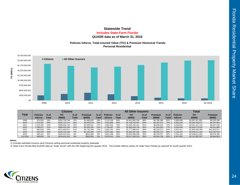## **Statewide TrendQUASR data as of March 31, 2016 Includes State Farm Florida**

### **Policies Inforce, Total Insured Value (TIV) & Premium Historical Trends Personal Residential**



|         |                 |        | Citizens      |        |                |              | <b>All Other Insurers</b> |        |                 |        |             |        | <b>Total</b>    |                 |                |
|---------|-----------------|--------|---------------|--------|----------------|--------------|---------------------------|--------|-----------------|--------|-------------|--------|-----------------|-----------------|----------------|
| Year    | <b>Policies</b> | $%$ of | TIV           | $%$ of | <b>Premium</b> | $%$ of       | <b>Policies</b>           | $%$ of | TIV             | $%$ of | Premium     | $%$ of | <b>Policies</b> | <b>TIV</b>      | <b>Premium</b> |
|         | <b>Inforce</b>  | Total  | (\$000)       | Total  | (5000)         | <b>Total</b> | <b>Inforce</b>            | Total  | (\$000)         | Total  | (\$000)     | Total  | <b>Inforce</b>  | (\$000)         | (\$000)        |
| 2009    | 975,500         | 16%    | \$255.739.746 | 12%    | \$1,486,820    | 18%          | 5.110.168                 | 84%    | \$1.842.082.106 | 88%    | \$6,796,366 | 82%    | 6.085.668       | \$2.097.821.852 | \$8,283,186    |
| 2010    | 1.232.397       | 20%    | \$326,713,170 | 16%    | \$2,005,579    | 23%          | 4.822.896                 | 80%    | \$1,738,750,447 | 84%    | \$6,782,374 | 77%    | 6.055.293       | \$2.065.463.617 | \$8,787,953    |
| 2011    | 1.423.160       | 24%    | \$385.936.723 | 19%    | \$2.469.201    | 27%          | 4.626.450                 | 76%    | \$1.655.230.421 | 81%    | \$6,838,229 | 73%    | 6.049.610       | \$2,041,167,144 | \$9,307,430    |
| 2012    | 1.268.071       | 21%    | \$308,333,785 | 15%    | \$2,206,326    | 23%          | 4.758.497                 | 79%    | \$1,695,939,740 | 85%    | \$7,435,553 | 77%    | 6.026.568       | \$2,004,273,525 | \$9,641,880    |
| 2013    | 983.629         | 16%    | \$215.405.611 | 11%    | \$1,735,299    | 17%          | 5.063.782                 | 84%    | \$1,777,886,847 | 89%    | \$8,318,272 | 83%    | 6.047.411       | \$1,993,292,458 | \$10,053,571   |
| 2014    | 631.378         | 10%    | \$136,124,128 | 7%     | \$1,105,259    | 11%          | 5.507.092                 | 90%    | \$1,903,287,291 | 93%    | \$8,935,274 | 89%    | 6.138.470       | \$2,039,411,419 | \$10,040,533   |
| 2015    | 480.161         | 8%     | \$106.413.416 | 5%     | \$818,388      | 8%           | 5.851.269                 | 92%    | \$2,002,398,538 | 95%    | \$9,159,797 | 92%    | 6.331.430       | \$2.108.811.954 | \$9,978,185    |
| 1Q 2016 | 468,840         | 7%     | \$104,401,242 | 5%     | \$800,064      | 8%           | 5.878.242                 | 93%    | \$2,017,466,315 | 95%    | \$9,164,739 | 92%    | 6,347,082       | \$2,121,867,557 | \$9,964,803    |

#### **Notes:**

1) Includes admitted insurers (and Citizens) writing personal residential property statewide

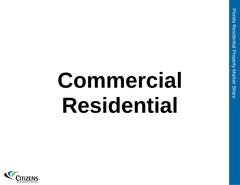# **Commercial Residential**

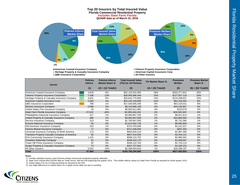

**Heritage Property & Casualty Insurance Company** 

**QBE Insurance Corporation All Other Insurers**

| <b>Carrier</b>                                 | <b>Policies</b><br><b>Inforce</b> | <b>Policies Inforce</b><br><b>Market Share %</b> | <b>Total Insured Value</b><br>(TIV) for All Policies | <b>TIV Market Share %</b>    | <b>Premiums</b><br><b>Written</b> | <b>Premium Market</b><br>Share % |
|------------------------------------------------|-----------------------------------|--------------------------------------------------|------------------------------------------------------|------------------------------|-----------------------------------|----------------------------------|
|                                                | (1)                               | $(2) = (1) / \text{Total}(1)$                    | (3)                                                  | $(4) = (3)/ \text{Total}(3)$ | (5)                               | $(6) = (5)$ / Total $(5)$        |
| American Coastal Insurance Company             | 4,629                             | 8%                                               | \$52,133,301,950                                     | 28%                          | \$293,277,842                     | 35%                              |
| <b>Citizens Property Insurance Corporation</b> | 7,438                             | 13%                                              | \$28,065,696,446                                     | 15%                          | \$127,557,119                     | 15%                              |
| Heritage Property & Casualty Insurance Company | 3,631                             | 6%                                               | \$25,642,775,859                                     | 14%                          | \$124,298,637                     | 15%                              |
| American Capital Assurance Corp                | 2,093                             | 4%                                               | \$25,245,159,869                                     | 14%                          | \$62,418,052                      | 8%                               |
| <b>QBE Insurance Corporation</b>               | 799                               | 1%                                               | \$17,528,605,436                                     | 9%                           | \$63,134,021                      | 8%                               |
| <b>Weston Insurance Company</b>                | 2.089                             | 4%                                               | \$8,144,866,158                                      | 4%                           | \$44,136,907                      | 5%                               |
| United States Fire Insurance Company           | 18                                | 0%                                               | \$6,563,611,981                                      | 4%                           | \$153,578                         | $0\%$                            |
| State Farm Florida Insurance Company           | 27,616                            | 48%                                              | \$5,995,454,236                                      | 3%                           | \$29,550,309                      | 4%                               |
| Philadelphia Indemnity Insurance Company       | 417                               | 1%                                               | \$3,099,967,706                                      | 2%                           | \$8.911.613                       | 1%                               |
| United Property & Casualty Insurance Company   | 386                               | 1%                                               | \$3,063,847,828                                      | 2%                           | \$24,884,594                      | 3%                               |
| Service Insurance Company                      | 223                               | 0%                                               | \$1,700,667,000                                      | 1%                           | \$5,732,385                       | 1%                               |
| <b>Everest National Insurance Company</b>      | 56                                | 0%                                               | \$1,613,062,739                                      | 1%                           | \$9,960,893                       | 1%                               |
| Old Dominion Insurance Company                 | 319                               | 1%                                               | \$724,703,000                                        | 0%                           | \$2,241,527                       | $0\%$                            |
| <b>Factory Mutual Insurance Company</b>        | 17                                | 0%                                               | \$711,548,945                                        | 0%                           | \$287,304                         | 0%                               |
| Universal Insurance Company of North America   | 113                               | 0%                                               | \$654,626,216                                        | 0%                           | \$1,987,280                       | $0\%$                            |
| Travelers Property Casualty Company of America | 60                                | 0%                                               | \$607,510,284                                        | 0%                           | \$2,454,121                       | 0%                               |
| First Community Insurance Company              | 1,421                             | 2%                                               | \$558,110,702                                        | $0\%$                        | \$2,985,591                       | 0%                               |
| <b>Travelers Indemnity Company</b>             | 31                                | 0%                                               | \$438,424,170                                        | 0%                           | \$1,509,667                       | 0%                               |
| Tower Hill Prime Insurance Company             | 92                                | 0%                                               | \$436,122,764                                        | 0%                           | \$1,720,114                       | $0\%$                            |
| Avatar Property & Casualty Insurance Company   | 74                                | 0%                                               | \$337,727,852                                        | $0\%$                        | \$1,429,152                       | $0\%$                            |
| All Other Insurers                             | 5,542                             | 10%                                              | \$2,499,503,819                                      | $1\%$                        | \$19,296,197                      | 2%                               |
| <b>Total</b>                                   | 57,064                            | 100%                                             | \$185,765,294,960                                    | 100%                         | \$827,926,903                     | 100%                             |

#### **Notes:**

1) Includes admitted insurers (and Citizens) writing commercial residential property statewide

2) State Farm Florida filed QUASR data as "trade secret" with the OIR beginning first quarter 2014. This exhibit reflects values for State Farm Florida as reported for fourth quarter 2013.

3) United States Fire Ins Co data presented as reported by the OIR

4) Any slight differences in market share %s in graph versus table are due to rounding

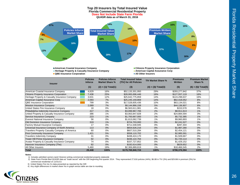

**Heritage Property & Casualty Insurance Company <b>American Capital Assurance Corp American Capital Assurance Corp All Other Insurance Corporation All Other Insurers All Other Insurers** 

| <b>Insurer</b>                                 | <b>Policies</b><br><b>Inforce</b> | <b>Policies Inforce</b><br><b>Market Share %</b> | <b>Total Insured Value</b><br>(TIV) for All Policies | <b>TIV Market Share %</b>    | <b>Premiums</b><br>Written | <b>Premium Market</b><br>Share % |
|------------------------------------------------|-----------------------------------|--------------------------------------------------|------------------------------------------------------|------------------------------|----------------------------|----------------------------------|
|                                                | (1)                               | $(2) = (1)/ \text{Total}(1)$                     | (3)                                                  | $(4) = (3)/ \text{Total}(3)$ | (5)                        | $(6) = (5)$ / Total $(5)$        |
| American Coastal Insurance Company             | 4,629                             | 16%                                              | \$52,133,301,950                                     | 29%                          | \$293,277,842              | 37%                              |
| <b>Citizens Property Insurance Corporation</b> | 7,438                             | 25%                                              | \$28,065,696,446                                     | 16%                          | \$127,557,119              | 16%                              |
| Heritage Property & Casualty Insurance Company | 3,631                             | 12%                                              | \$25,642,775,859                                     | 14%                          | \$124,298,637              | 16%                              |
| American Capital Assurance Corp                | 2,093                             | 7%                                               | \$25,245,159,869                                     | 14%                          | \$62,418,052               | 8%                               |
| <b>QBE Insurance Corporation</b>               | 799                               | 3%                                               | \$17,528,605,436                                     | 10%                          | \$63,134,021               | 8%                               |
| <b>Weston Insurance Company</b>                | 2,089                             | 7%                                               | \$8,144,866,158                                      | 5%                           | \$44,136,907               | 6%                               |
| United States Fire Insurance Company           | 18                                | 0%                                               | \$6,563,611,981                                      | 4%                           | \$153,578                  | 0%                               |
| Philadelphia Indemnity Insurance Company       | 417                               | 1%                                               | \$3,099,967,706                                      | 2%                           | \$8,911,613                | 1%                               |
| United Property & Casualty Insurance Company   | 386                               | 1%                                               | \$3,063,847,828                                      | 2%                           | \$24,884,594               | 3%                               |
| Service Insurance Company                      | 223                               | 1%                                               | \$1,700,667,000                                      | 1%                           | \$5,732,385                | 1%                               |
| <b>Everest National Insurance Company</b>      | 56                                | 0%                                               | \$1,613,062,739                                      | 1%                           | \$9,960,893                | 1%                               |
| Old Dominion Insurance Company                 | 319                               | 1%                                               | \$724,703,000                                        | 0%                           | \$2,241,527                | 0%                               |
| <b>Factory Mutual Insurance Company</b>        | 17                                | 0%                                               | \$711,548,945                                        | 0%                           | \$287,304                  | 0%                               |
| Universal Insurance Company of North America   | 113                               | 0%                                               | \$654,626,216                                        | 0%                           | \$1,987,280                | 0%                               |
| Travelers Property Casualty Company of America | 60                                | 0%                                               | \$607,510,284                                        | 0%                           | \$2,454,121                | 0%                               |
| First Community Insurance Company              | 1,421                             | 5%                                               | \$558,110,702                                        | 0%                           | \$2,985,591                | 0%                               |
| <b>Travelers Indemnity Company</b>             | 31                                | 0%                                               | \$438,424,170                                        | $0\%$                        | \$1,509,667                | 0%                               |
| Tower Hill Prime Insurance Company             | 92                                | 0%                                               | \$436,122,764                                        | 0%                           | \$1,720,114                | 0%                               |
| Avatar Property & Casualty Insurance Company   | 74                                | 0%                                               | \$337,727,852                                        | 0%                           | \$1,429,152                | 0%                               |
| Hanover Insurance Company (The)                | 82                                | 0%                                               | \$192,614,000                                        | 0%                           | \$829,652                  | 0%                               |
| All Other Insurers                             | 5,460                             | 19%                                              | \$2,306,889,819                                      | 1%                           | \$18,466,545               | 2%                               |
| <b>Total</b>                                   | 29,448                            | 100%                                             | \$179,769,840,724                                    | 100%                         | \$798,376,594              | 100%                             |

#### **Notes:**

1) Includes admitted carriers (and Citizens) writing commercial residential property statewide

 2) State Farm Florida filed QUASR data as "trade secret" with the OIR beginning first quarter 2014. They represented 27,616 policies (44%), \$6.0B in TIV (3%) and \$29.6M in premium (3%) for commercial residential on 12/31/13.

3) United States Fire Ins Co data presented as reported by the OIR

4) Any slight differences in market share %s in graph versus table are due to rounding

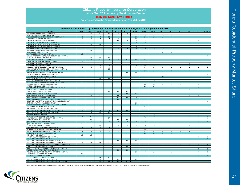#### **Citizens Property Insurance Corporation Historic Top 20 Insurers by Total Insured Value Includes State Farm Florida**

**Data reported to the Office of Insurance Regulation (OIR)**

|                                                                                    | Commercial Residential - Top 20 Rank by Total Insured Value Based on QUASR data reported to the OIR |                                  |                                  |                                   |                  |                 |                 |                 |                 |                 |                      |                  |                 |                 |                  |
|------------------------------------------------------------------------------------|-----------------------------------------------------------------------------------------------------|----------------------------------|----------------------------------|-----------------------------------|------------------|-----------------|-----------------|-----------------|-----------------|-----------------|----------------------|------------------|-----------------|-----------------|------------------|
| <b>Insurers</b>                                                                    | 2002                                                                                                | 2003                             | 2004                             | 2005                              | 2006             | 2007            | 2008            | 2009            | 2010            | 2011            | 2012                 | 2013             | 2014            | 2015            | 1Q 2016          |
| ACE AMERICAN INSURANCE COMPANY                                                     |                                                                                                     | 12                               | 18                               | 11                                | 8                | 9               |                 |                 |                 |                 |                      |                  |                 |                 |                  |
| AFFILIATED FM INSURANCE COMPANY                                                    |                                                                                                     |                                  |                                  |                                   |                  |                 |                 | 20              | 19              | 18              | 18                   | 20               |                 |                 |                  |
| ALLIANZ GLOBAL RISKS US INSURANCE COMPANY<br>ALLSTATE INSURANCE COMPANY            | 6                                                                                                   | $\overline{7}$<br>$\overline{4}$ | $\overline{7}$<br>$\overline{4}$ | 10 <sup>°</sup><br>$\overline{4}$ | $5\phantom{.0}$  |                 | 15<br>19        | 16 <sup>°</sup> | 17              | 13              |                      |                  |                 |                 |                  |
| AMERICAN CAPITAL ASSURANCE CORP                                                    |                                                                                                     |                                  |                                  |                                   | 13               | 3               | $\overline{4}$  | $\overline{4}$  | $\overline{4}$  | $\overline{4}$  | $\overline{4}$       | $\overline{4}$   | 3               | 3               | 4                |
| AMERICAN COASTAL INSURANCE COMPANY                                                 |                                                                                                     |                                  |                                  |                                   |                  | 5 <sup>1</sup>  | $\overline{2}$  | $\overline{3}$  | $\overline{2}$  | $\overline{2}$  | 2 <sup>1</sup>       | $\mathcal{P}$    | $\overline{2}$  |                 | 1                |
| AMERICAN ECONOMY INSURANCE COMPANY                                                 |                                                                                                     | 14                               | 17                               |                                   |                  |                 |                 |                 |                 |                 |                      |                  |                 |                 |                  |
| AMERICAN KEYSTONE INSURANCE COMPANY                                                |                                                                                                     |                                  |                                  |                                   |                  |                 | 6               |                 |                 |                 |                      |                  |                 |                 |                  |
| AMERICAN STRATEGIC INSURANCE CORP.                                                 |                                                                                                     |                                  |                                  | $\overline{7}$                    | 3 <sup>°</sup>   | $\overline{4}$  | 5 <sub>5</sub>  | 6 <sup>°</sup>  | 6               | 6               | 6                    |                  |                 |                 |                  |
| AMERICAN ZURICH INSURANCE COMPANY<br>ARCH INSURANCE COMPANY                        |                                                                                                     | 17                               |                                  |                                   |                  |                 |                 |                 | $\overline{7}$  | 15              | 12                   |                  |                 |                 |                  |
| ASSURANCE COMPANY OF AMERICA                                                       | 19                                                                                                  |                                  |                                  |                                   |                  |                 |                 |                 |                 |                 |                      |                  |                 |                 |                  |
| AVATAR PROPERTY & CASUALTY INSURANCE COMPANY                                       |                                                                                                     |                                  |                                  |                                   |                  |                 |                 |                 |                 |                 |                      |                  |                 |                 | 20               |
| BANKERS INSURANCE COMPANY                                                          | 12                                                                                                  | 11                               | 11                               | 18                                |                  |                 |                 |                 |                 |                 |                      |                  |                 |                 |                  |
| CAPACITY INSURANCE COMPANY                                                         | -9                                                                                                  | 8                                | 10 <sup>°</sup>                  | 8                                 | 9                | 11              | 13 <sub>1</sub> | 17              |                 |                 |                      |                  |                 |                 |                  |
| CHARTER OAK FIRE INSURANCE COMPANY                                                 | 17                                                                                                  |                                  |                                  |                                   |                  |                 |                 |                 |                 |                 |                      |                  |                 |                 |                  |
| CINCINNATI INDEMNITY COMPANY<br>CINCINNATI INSURANCE COMPANY                       |                                                                                                     | 13                               | 9 <sup>°</sup>                   | 9                                 |                  |                 | 8               | 10 <sup>1</sup> | 13              | 11              | 14 <sup>°</sup>      | 15 <sub>15</sub> | 20<br>18        |                 |                  |
| CITIZENS PROPERTY INSURANCE CORPORATION                                            | $\mathbf{1}$                                                                                        | $\mathbf{1}$                     | $\mathbf{1}$                     | $\mathbf{1}$                      | $\mathbf{1}$     | $\mathbf{1}$    | $\mathbf{1}$    | $\mathbf{1}$    | $\mathbf{1}$    | $\mathbf{1}$    | $\mathbf{1}$         | $\mathbf{1}$     | $\mathbf{1}$    | $\overline{a}$  | $\mathbf{2}$     |
| COMMONWEALTH INSURANCE COMPANY OF AMERICA                                          |                                                                                                     |                                  |                                  | 12                                |                  |                 |                 |                 |                 |                 |                      |                  |                 |                 |                  |
| CONTINENTAL CASUALTY COMPANY                                                       |                                                                                                     |                                  |                                  |                                   |                  |                 |                 | 15 <sub>1</sub> | 16 <sup>°</sup> | 19              | 20                   | 18               | 17              |                 |                  |
| COTTON STATES MUTUAL INSURANCE COMPANY                                             |                                                                                                     |                                  |                                  |                                   |                  | 18              | 18              |                 |                 |                 |                      |                  |                 |                 |                  |
| EVEREST NATIONAL INSURANCE COMPANY                                                 |                                                                                                     |                                  |                                  |                                   |                  |                 |                 |                 |                 |                 |                      |                  |                 |                 | 12               |
| FACTORY MUTUAL INSURANCE COMPANY<br>FEDERAL INSURANCE COMPANY                      |                                                                                                     |                                  | 19                               | 19                                |                  |                 |                 |                 |                 | 20              | 15 <sup>2</sup>      | 14               | 13              | 14              | 14               |
| FEDERATED NATIONAL INSURANCE COMPANY                                               |                                                                                                     |                                  |                                  |                                   |                  |                 |                 |                 | 20              |                 |                      |                  |                 |                 |                  |
| FIDELITY AND CASUALTY COMPANY OF NEW YORK                                          | 13                                                                                                  |                                  |                                  |                                   |                  |                 |                 |                 |                 |                 |                      |                  |                 |                 |                  |
| FIRST COMMUNITY INSURANCE COMPANY                                                  |                                                                                                     |                                  |                                  |                                   |                  |                 |                 | 18              | 18              | 17              | 16                   | 13               | 12              | 16              | 17               |
| FIRST HOME INSURANCE COMPANY                                                       |                                                                                                     |                                  |                                  |                                   |                  |                 |                 | 13              | 10              |                 |                      |                  |                 |                 |                  |
| FIRST NATIONAL INSURANCE COMPANY OF AMERICA                                        |                                                                                                     |                                  |                                  |                                   |                  |                 |                 |                 |                 |                 |                      |                  |                 | 20              |                  |
| FOREMOST INSURANCE COMPANY<br>GRANADA INSURANCE COMPANY                            |                                                                                                     |                                  |                                  | 13                                | 12               |                 |                 |                 |                 |                 |                      |                  | 19              |                 |                  |
| GREAT AMERICAN INSURANCE COMPANY                                                   |                                                                                                     |                                  |                                  |                                   |                  | 15<br>19        | 17              |                 |                 |                 |                      |                  |                 |                 |                  |
| HANOVER INSURANCE COMPANY (THE)                                                    | 20                                                                                                  | 16                               | 20                               |                                   | 14               |                 |                 |                 |                 |                 |                      | 19               | 16              | 19              |                  |
| HARTFORD FIRE INSURANCE COMPANY                                                    |                                                                                                     |                                  |                                  |                                   | 11               | 10              | 20              |                 |                 |                 |                      |                  |                 |                 |                  |
| HARTFORD INSURANCE COMPANY OF THE SOUTHEAST                                        |                                                                                                     |                                  |                                  |                                   | 18               |                 |                 |                 |                 |                 |                      |                  |                 |                 |                  |
| HERITAGE PROPERTY & CASUALTY INSURANCE COMPANY<br>ICAT SPECIALTY INSURANCE COMPANY |                                                                                                     |                                  |                                  |                                   |                  |                 | 16              |                 |                 |                 |                      |                  | $5^{\circ}$     | $\overline{4}$  | $\mathbf{3}$     |
| INDEMNITY INSURANCE COMPANY OF NORTH AMERICA                                       |                                                                                                     |                                  |                                  |                                   |                  |                 | 11              |                 |                 |                 |                      |                  |                 |                 |                  |
| INSURANCE COMPANY OF THE WEST                                                      |                                                                                                     |                                  |                                  |                                   |                  |                 |                 | 11              |                 |                 |                      |                  |                 |                 |                  |
| INSURANCE CORPORATION OF NEW YORK                                                  | $\overline{2}$                                                                                      |                                  |                                  |                                   |                  |                 |                 |                 |                 |                 |                      |                  |                 |                 |                  |
| NATIONWIDE MUTUAL FIRE INSURANCE COMPANY                                           |                                                                                                     | $\overline{5}$                   | 5 <sub>5</sub>                   | $6^{\circ}$                       | 10 <sup>1</sup>  | 14              |                 |                 |                 |                 |                      |                  |                 |                 |                  |
| NATIONWIDE MUTUAL INSURANCE COMPANY                                                | 8                                                                                                   | 9                                | 13                               | 16                                |                  |                 |                 |                 |                 |                 |                      |                  |                 |                 |                  |
| NOVA CASUALTY COMPANY<br>OLD DOMINION INSURANCE COMPANY                            | 14                                                                                                  | 20 <sup>2</sup>                  |                                  |                                   |                  |                 |                 | 12 <sup>2</sup> | 15<br>14        | 12 <sub>2</sub> | 9<br>13 <sup>°</sup> | 12<br>11         | 10 <sup>1</sup> | 12 <sup>°</sup> | 13 <sup>°</sup>  |
| PHILADELPHIA INDEMNITY INSURANCE COMPANY                                           |                                                                                                     |                                  |                                  | 17                                |                  |                 |                 | $\overline{7}$  | 8               | $\overline{7}$  | $7^{\circ}$          | $\overline{7}$   | 8               | 9               | 9                |
| PHOENIX INSURANCE COMPANY                                                          |                                                                                                     | 19                               |                                  |                                   | 16               | 17              |                 |                 |                 |                 |                      |                  |                 |                 |                  |
| <b>QBE INSURANCE CORPORATION</b>                                                   |                                                                                                     | $\overline{2}$                   | 3                                | $\overline{2}$                    | $\overline{2}$   | $\overline{2}$  | 3               | $\overline{2}$  | 3               | 3               | 3 <sup>°</sup>       | 3                | $\overline{4}$  | 5 <sup>1</sup>  | 5 <sub>1</sub>   |
| QUALSURE INSURANCE CORPORATION                                                     | 16                                                                                                  |                                  |                                  |                                   |                  |                 |                 |                 |                 |                 |                      |                  |                 |                 |                  |
| SERVICE INSURANCE COMPANY<br>SOUTHERN FAMILY INSURANCE COMPANY                     | $5\phantom{.0}$                                                                                     | 3                                | 15<br>2 <sup>7</sup>             | $\overline{3}$                    | 6                | 6               | $\overline{7}$  | $\overline{9}$  | $\overline{9}$  | $\overline{8}$  | $\overline{8}$       | $\overline{8}$   | $\overline{9}$  | 11              | 11               |
| ST. PAUL FIRE & MARINE INSURANCE COMPANY                                           |                                                                                                     |                                  |                                  |                                   |                  |                 |                 | 19              |                 |                 |                      |                  |                 |                 |                  |
| STATE FARM FLORIDA INSURANCE COMPANY                                               | $\overline{4}$                                                                                      | 6                                | 6                                | 5                                 | $\overline{4}$   | 8               | 9               | 5               | 5               | 5               | 5                    | 6                | $\overline{7}$  | 8               | 8                |
| SUNSHINE STATE INSURANCE COMPANY                                                   |                                                                                                     |                                  |                                  |                                   |                  |                 |                 | 14 <sup>°</sup> | 12              | 10 <sub>1</sub> | 11 <sub>1</sub>      | 9                |                 |                 |                  |
| TIG INSURANCE COMPANY                                                              | 10                                                                                                  | 18                               |                                  |                                   |                  |                 |                 |                 |                 |                 |                      |                  |                 |                 |                  |
| TOWER HILL PRIME INSURANCE COMPANY                                                 |                                                                                                     |                                  |                                  |                                   |                  |                 |                 |                 |                 |                 |                      |                  |                 | 18              | 19               |
| TRAVELERS INDEMNITY COMPANY<br>TRAVELERS INDEMNITY COMPANY OF AMERICA              |                                                                                                     |                                  |                                  |                                   | 17               |                 |                 |                 |                 | 16 <sup>2</sup> | 19                   | 17 <sup>2</sup>  | 15 <sub>1</sub> | 17              | 18               |
| TRAVELERS INDEMNITY COMPANY OF CONNECTICUT                                         | 11                                                                                                  | 15                               | 16                               | 20                                |                  | 13              | 14              |                 |                 |                 |                      |                  |                 |                 |                  |
| TRAVELERS PROPERTY CASUALTY COMPANY OF AMERICA                                     |                                                                                                     |                                  |                                  |                                   |                  |                 |                 |                 |                 | 14              | 17                   | 16               | 14              | 15 <sub>1</sub> | 16               |
| TWIN CITY FIRE INSURANCE COMPANY                                                   |                                                                                                     |                                  |                                  |                                   |                  | 20 <sup>2</sup> |                 |                 |                 |                 |                      |                  |                 |                 |                  |
| UNITED PROPERTY & CASUALTY INSURANCE COMPANY                                       |                                                                                                     |                                  |                                  |                                   |                  |                 |                 |                 |                 |                 |                      |                  |                 | 10              | 10 <sup>10</sup> |
| UNITED STATES FIRE INSURANCE COMPANY                                               |                                                                                                     |                                  |                                  |                                   | 19               | 16              |                 |                 |                 |                 |                      |                  |                 | $\overline{7}$  | $\overline{7}$   |
| UNIVERSAL INSURANCE COMPANY OF NORTH AMERICA                                       |                                                                                                     |                                  |                                  |                                   |                  |                 | 10              | 8               | 11              | 9               | 10                   | 10               | 11              | 13              | 15               |
| WESTFIELD INSURANCE COMPANY<br><b>WESTON INSURANCE COMPANY</b>                     | 18                                                                                                  |                                  |                                  |                                   |                  |                 |                 |                 |                 |                 |                      | 5 <sub>5</sub>   | $6\phantom{1}$  | $6^{\circ}$     | 6 <sup>°</sup>   |
| XL SPECIALTY INSURANCE COMPANY                                                     |                                                                                                     |                                  | 14                               | 15                                |                  |                 |                 |                 |                 |                 |                      |                  |                 |                 |                  |
| ZURICH AMERICAN INSURANCE COMPANY                                                  |                                                                                                     |                                  | 8                                |                                   | 20               |                 | 12              |                 |                 |                 |                      |                  |                 |                 |                  |
| ZURICH AMERICAN INSURANCE COMPANY OF ILLINOIS                                      | 15 <sub>15</sub>                                                                                    | 10 <sup>°</sup>                  | 12 <sub>1</sub>                  | 14 <sup>°</sup>                   | 15 <sub>15</sub> | 12 <sub>2</sub> |                 |                 |                 |                 |                      |                  |                 |                 |                  |

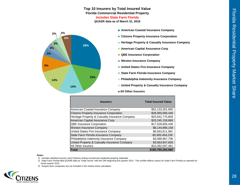## **Top 10 Insurers by Total Insured Value Florida Commercial Residential Property**

**Includes State Farm Florida**

**QUASR data as of March 31, 2016**



- **E** American Coastal Insurance Company
- **Citizens Property Insurance Corporation**
- **Heritage Property & Casualty Insurance Company**
- **E** American Capital Assurance Corp
- **QBE Insurance Corporation**
- **Weston Insurance Company**
- **United States Fire Insurance Company**
- **State Farm Florida Insurance Company**
- **Philadelphia Indemnity Insurance Company**
- **United Property & Casualty Insurance Company**
- **All Other Insurers**

| <b>Insurers</b>                                | <b>Total Insured Value</b> |
|------------------------------------------------|----------------------------|
| American Coastal Insurance Company             | \$52,133,301,950           |
| <b>Citizens Property Insurance Corporation</b> | \$28,065,696,446           |
| Heritage Property & Casualty Insurance Company | \$25,642,775,859           |
| American Capital Assurance Corp                | \$25,245,159,869           |
| <b>QBE Insurance Corporation</b>               | \$17,528,605,436           |
| <b>Weston Insurance Company</b>                | \$8,144,866,158            |
| United States Fire Insurance Company           | \$6,563,611,981            |
| State Farm Florida Insurance Company           | \$5,995,454,236            |
| Philadelphia Indemnity Insurance Company       | \$3,099,967,706            |
| United Property & Casualty Insurance Company   | \$3.063.847.828            |
| All Other Insurers                             | \$10,282,007,491           |
| Total                                          | \$185,765,294,960          |

#### **Notes:**

- 1) Includes admitted insurers (and Citizens) writing commercial residential property statewide
- 2) State Farm Florida filed QUASR data as "trade secret" with the OIR beginning first quarter 2014. This exhibit reflects values for State Farm Florida as reported for fourth quarter 2013.
- 3) Surplus lines companies are not included in the market share calculation

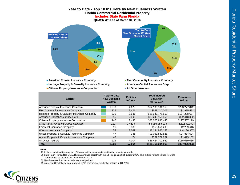

| <b>Carrier</b>                                          | <b>Year to Date</b><br><b>New Business</b><br>Written | <b>Policies</b><br><b>Inforce</b> | <b>Total Insured</b><br>Value for<br><b>All Policies</b> | <b>Premiums</b><br>Written |
|---------------------------------------------------------|-------------------------------------------------------|-----------------------------------|----------------------------------------------------------|----------------------------|
| American Coastal Insurance Company                      | 1.278                                                 | 4,629                             | \$52,133,301,950                                         | \$293,277,842              |
| <b>First Community Insurance Company</b>                | 375                                                   | 1,421                             | \$558,110,702                                            | \$2,985,591                |
| Heritage Property & Casualty Insurance Company          | 331                                                   | 3,631                             | \$25,642,775,859                                         | \$124,298,637              |
| American Capital Assurance Corp                         | 316                                                   | 2.093                             | \$25,245,159,869                                         | \$62,418,052               |
| Citizens Property Insurance Corporation                 | 140                                                   | 7,438                             | \$28,065,696,446                                         | \$127,557,119              |
| State Farm Florida Insurance Company                    | 131                                                   | 27,616                            | \$5,995,454,236                                          | \$29,550,309               |
| Foremost Insurance Company                              | 96                                                    | 3.383                             | \$153,651,200                                            | \$2,299,616                |
| <b>Weston Insurance Company</b>                         | 54                                                    | 2,089                             | \$8,144,866,158                                          | \$44,136,907               |
| United Property & Casualty Insurance Company            | 47                                                    | 386                               | \$3,063,847,828                                          | \$24,884,594               |
| <b>Avatar Property &amp; Casualty Insurance Company</b> | 46                                                    | 74                                | \$337,727,852                                            | \$1,429,152                |
| All Other Insurers                                      | 214                                                   | 4.304                             | \$36,424,702,860                                         | \$115,089,085              |
| Total                                                   | 3,028                                                 | 57.064                            | \$185,765,294,960                                        | \$827,926,903              |

#### **Notes:**

1) Includes admitted insurers (and Citizens) writing commercial residential property statewide

 2) State Farm Florida filed QUASR data as "trade secret" with the OIR beginning first quarter 2014. This exhibit reflects values for State Farm Florida as reported for fourth quarter 2013.

3) New business does not include assumed policies

4) American Coastal also non-renewed 1,255 commercial residential policies in Q1 2016

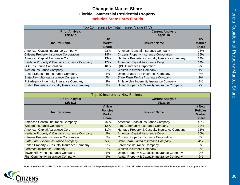## **Change in Market Share Includes State Farm Florida Florida Commercial Residential Property**

|                                                |               | Top 10 Insurers by Total Insured Value (TIV)   |               |
|------------------------------------------------|---------------|------------------------------------------------|---------------|
| <b>Prior Analysis</b>                          |               | <b>Current Analysis</b>                        |               |
| 12/31/15                                       |               | 03/31/16                                       |               |
|                                                | <b>TIV</b>    |                                                | <b>TIV</b>    |
| <b>Insurer Name</b>                            | <b>Market</b> | <b>Insurer Name</b>                            | <b>Market</b> |
|                                                | <b>Share</b>  |                                                | <b>Share</b>  |
| American Coastal Insurance Company             | 28%           | American Coastal Insurance Company             | 28%           |
| <b>Citizens Property Insurance Corporation</b> | 18%           | Citizens Property Insurance Corporation        | 15%           |
| American Capital Assurance Corp                | 13%           | Heritage Property & Casualty Insurance Company | 14%           |
| Heritage Property & Casualty Insurance Company | 12%           | American Capital Assurance Corp                | 14%           |
| <b>QBE Insurance Corporation</b>               | 10%           | <b>QBE Insurance Corporation</b>               | 9%            |
| Weston Insurance Company                       | 5%            | <b>Weston Insurance Company</b>                | 4%            |
| United States Fire Insurance Company           | 4%            | United States Fire Insurance Company           | 4%            |
| State Farm Florida Insurance Company           | 3%            | State Farm Florida Insurance Company           | 3%            |
| Philadelphia Indemnity Insurance Company       | 2%            | Philadelphia Indemnity Insurance Company       | 2%            |
| United Property & Casualty Insurance Company   | 1%            | United Property & Casualty Insurance Company   | 2%            |

| Top 10 Insurers by New Business                |                 |                                                         |                 |  |  |  |  |  |  |  |  |
|------------------------------------------------|-----------------|---------------------------------------------------------|-----------------|--|--|--|--|--|--|--|--|
| <b>Prior Analysis</b>                          |                 | <b>Current Analysis</b>                                 |                 |  |  |  |  |  |  |  |  |
| 12/31/15                                       |                 | 03/31/16                                                |                 |  |  |  |  |  |  |  |  |
|                                                | # New           |                                                         | # New           |  |  |  |  |  |  |  |  |
| <b>Insurer Name</b>                            | <b>Policies</b> | <b>Insurer Name</b>                                     | <b>Policies</b> |  |  |  |  |  |  |  |  |
|                                                | <b>Market</b>   |                                                         | <b>Market</b>   |  |  |  |  |  |  |  |  |
|                                                | <b>Share</b>    |                                                         | <b>Share</b>    |  |  |  |  |  |  |  |  |
| American Coastal Insurance Company             | 46%             | American Coastal Insurance Company                      | 42%             |  |  |  |  |  |  |  |  |
| <b>Weston Insurance Company</b>                | 12%             | <b>First Community Insurance Company</b>                | 12%             |  |  |  |  |  |  |  |  |
| American Capital Assurance Corp                | 11%             | Heritage Property & Casualty Insurance Company          | 11%             |  |  |  |  |  |  |  |  |
| Heritage Property & Casualty Insurance Company | 8%              | American Capital Assurance Corp                         | 10%             |  |  |  |  |  |  |  |  |
| <b>Citizens Property Insurance Corporation</b> | 7%              | <b>Citizens Property Insurance Corporation</b>          | 5%              |  |  |  |  |  |  |  |  |
| State Farm Florida Insurance Company           | 5%              | State Farm Florida Insurance Company                    | 4%              |  |  |  |  |  |  |  |  |
| United Property & Casualty Insurance Company   | 2%              | Foremost Insurance Company                              | 3%              |  |  |  |  |  |  |  |  |
| <b>Foremost Insurance Company</b>              | 2%              | <b>Weston Insurance Company</b>                         | 2%              |  |  |  |  |  |  |  |  |
| Tower Hill Prime Insurance Company             | $1\%$           | United Property & Casualty Insurance Company            | 2%              |  |  |  |  |  |  |  |  |
| <b>First Community Insurance Company</b>       | 1%              | <b>Avatar Property &amp; Casualty Insurance Company</b> | 2%              |  |  |  |  |  |  |  |  |

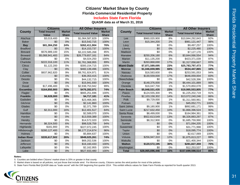## **Includes State Farm Florida**

**QUASR data as of March 31, 2016**

|                     | <b>Citizens</b>      |               | <b>All Other Insurers</b>  |               |                    | <b>Citizens</b>            |               | <b>All Other Insurers</b>  |               |
|---------------------|----------------------|---------------|----------------------------|---------------|--------------------|----------------------------|---------------|----------------------------|---------------|
| <b>County</b>       | <b>Total Insured</b> | <b>Market</b> | <b>Total Insured Value</b> | <b>Market</b> | <b>County</b>      | <b>Total Insured Value</b> | <b>Market</b> | <b>Total Insured Value</b> | <b>Market</b> |
|                     | <b>Value</b>         | <b>Share</b>  |                            | <b>Share</b>  |                    |                            | <b>Share</b>  |                            | <b>Share</b>  |
| Alachua             | \$3,019,400          | 0%            | \$1,064,587,829            | 100%          | Lee                | \$960,020,900              | 8%            | \$10,844,292,843           | 92%           |
| <b>Baker</b>        | \$0                  | 0%            | \$15,542,715               | 100%          | Leon               | \$15,344,200               | 2%            | \$981,121,447              | 98%           |
| <b>Bay</b>          | \$81,384,250         | 24%           | \$262,411,904              | 76%           | Levy               | \$0                        | 0%            | \$9,497,257                | 100%          |
| <b>Bradford</b>     | \$0                  | $0\%$         | \$14,153,737               | 100%          | Liberty            | \$0                        | 0%            | \$2,225,480                | 100%          |
| <b>Brevard</b>      | \$576,989,100        | 15%           | \$3,222,585,268            | 85%           | Madison            | \$0                        | $0\%$         | \$7,127,170                | 100%          |
| <b>Broward</b>      | \$5,068,941,483      | 16%           | \$26,779,657,161           | 84%           | Manatee            | \$250,206,180              | 6%            | \$3,844,066,554            | 94%           |
| Calhoun             | \$0                  | 0%            | \$4,024,250                | 100%          | Marion             | \$11,135,200               | 3%            | \$423,371,039              | 97%           |
| Charlotte           | \$222,316,100        | 11%           | \$1,761,368,955            | 89%           | Martin             | \$263,868,690              | 17%           | \$1,317,058,667            | 83%           |
| <b>Citrus</b>       | \$1,122,200          | 0%            | \$300,154,715              | 100%          | <b>Miami-Dade</b>  | \$7,871,589,695            | 23%           | \$25,783,797,473           | 77%           |
| Clay                | \$0                  | 0%            | \$482,139,496              | 100%          | <b>Monroe</b>      | \$1,046,659,985            | 66%           | \$534,447,865              | 34%           |
| Collier             | \$937,962,820        | 9%            | \$9,761,924,971            | 91%           | <b>Nassau</b>      | \$16,583,600               | 6%            | \$253,591,053              | 94%           |
| Columbia            | \$0                  | 0%            | \$36,353,415               | 100%          | Okaloosa           | \$130,559,000              | 17%           | \$646,059,004              | 83%           |
| Desoto              | \$0                  | 0%            | \$44,132,715               | 100%          | Okeechobee         | \$0                        | 0%            | \$42,528,396               | 100%          |
| <b>Dixie</b>        | \$0                  | 0%            | \$15,941,930               | 100%          | Orange             | \$148,376,000              | 2%            | \$6,444,101,889            | 98%           |
| Duval               | \$17,496,400         | 1%            | \$2,938,753,942            | 99%           | Osceola            | \$16,047,700               | 1%            | \$1,570,850,078            | 99%           |
| <b>Escambia</b>     | \$164,850,900        | 26%           | \$476,282,071              | 74%           | <b>Palm Beach</b>  | \$5,848,531,435            | 23%           | \$19,995,553,805           | 77%           |
| Flagler             | \$0                  | 0%            | \$665,251,696              | 100%          | Pasco              | \$124,555,300              | 9%            | \$1,225,202,719            | 91%           |
| <b>Franklin</b>     | \$6,928,000          | 59%           | \$4,717,181                | 41%           | <b>Pinellas</b>    | \$2,103,158,302            | 14%           | \$13,072,240,246           | 86%           |
| Gadsden             | \$0                  | 0%            | \$23,468,365               | 100%          | Polk               | \$9,729,000                | 1%            | \$1,311,560,961            | 99%           |
| Gilchrist           | \$0                  | 0%            | \$2,141,860                | 100%          | Putnam             | \$0                        | 0%            | \$45,052,771               | 100%          |
| Glades              | \$0                  | 0%            | \$2,371,789                | 100%          | Saint Johns        | \$9,180,900                | 1%            | \$892,681,171              | 99%           |
| Gulf                | \$2,311,000          | 16%           | \$12,401,517               | 84%           | <b>Saint Lucie</b> | \$217,632,450              | 10%           | \$1,866,396,524            | 90%           |
| Hamilton            | \$0                  | 0%            | \$2,589,070                | 100%          | Santa Rosa         | \$8,499,000                | 5%            | \$164,984,361              | 95%           |
| Hardee              | \$0                  | 0%            | \$13,559,389               | 100%          | Sarasota           | \$922,613,549              | 13%           | \$6,326,883,297            | 87%           |
| <b>Hendry</b>       | \$0                  | 0%            | \$14,572,020               | 100%          | Seminole           | \$8,312,900                | 0%            | \$1,685,759,990            | 100%          |
| Hernando            | \$6,324,500          | 6%            | \$98,528,759               | 94%           | Sumter             | \$0                        | 0%            | \$71,094,205               | 100%          |
| Highlands           | \$181,900            | 0%            | \$227,072,245              | 100%          | Suwannee           | \$0                        | 0%            | \$31,771,998               | 100%          |
| Hillsborough        | \$280,127,400        | 4%            | \$6,177,214,674            | 96%           | Taylor             | \$0                        | 0%            | \$18,095,774               | 100%          |
| <b>Holmes</b>       | \$0                  | 0%            | \$5,884,637                | 100%          | <b>Union</b>       | \$0                        | 0%            | \$2,617,069                | 100%          |
| <b>Indian River</b> | \$335,617,502        | 26%           | \$949,025,261              | 74%           | Volusia            | \$256,947,310              | 12%           | \$1,875,813,227            | 88%           |
| Jackson             | \$0                  | 0%            | \$69,202,536               | 100%          | Wakulla            | \$0                        | $0\%$         | \$21,400,344               | 100%          |
| Jefferson           | \$0                  | 0%            | \$16,160,433               | 100%          | <b>Walton</b>      | \$120,572,195              | 30%           | \$281,827,359              | 70%           |
| Lafayette           | \$0                  | 0%            | \$2,162,955                | 100%          | Washington         | \$0                        | 0%            | \$12,253,537               | 100%          |
| Lake                | \$0                  | 0%            | \$627,933,480              | 100%          | <b>Total</b>       | \$28,065,696,446           | 15%           | \$157,699,598,514          | 85%           |

#### **Notes:**

1) Counties are bolded when Citizens' market share is 20% or greater in that county

2) Market share is based on all policies, not just those that include wind. For Monroe county, Citizens carries the wind portion for most of the policies.

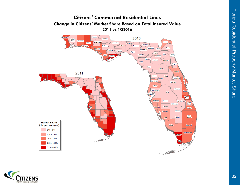

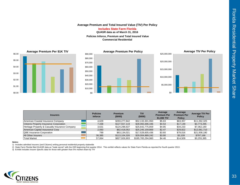## **Average Premium and Total Insured Value (TIV) Per Policy**

**Includes State Farm Florida**

**QUASR data as of March 31, 2016**

**Policies Inforce, Premium and Total Insured Value Commercial Residential**







| <b>Insurers</b>                                | <b>Policies</b><br><b>Inforce</b> | <b>Premium</b><br>(5000) | <b>TIV</b><br>(\$000) | Average<br><b>Premium Per</b><br>\$1,000 TIV | Average<br><b>Premium Per</b><br><b>Policy</b> | <b>Average TIV Per</b><br><b>Policy</b> |
|------------------------------------------------|-----------------------------------|--------------------------|-----------------------|----------------------------------------------|------------------------------------------------|-----------------------------------------|
| American Coastal Insurance Company             | 4.629                             | \$293.277.842            | \$52,133,301,950      | \$5.63                                       | \$63.357                                       | \$11,262,325                            |
| <b>Citizens Property Insurance Corporation</b> | 7.438                             | \$127,557,119            | \$28,065,696,446      | \$4.54                                       | \$17,149                                       | \$3,773,285                             |
| Heritage Property & Casualty Insurance Company | 3.631                             | \$124.298.637            | \$25.642.775.859      | \$4.85                                       | \$34.233                                       | \$7.062.180                             |
| American Capital Assurance Corp                | 2.093                             | \$62,418,052             | \$25,245,159,869      | \$2.47                                       | \$29.822                                       | \$12,061,710                            |
| <b>QBE Insurance Corporation</b>               | 799                               | \$63.134.021             | \$17.528.605.436      | \$3.60                                       | \$79.016                                       | \$21,938,180                            |
| <b>All Other Insurers</b>                      | 36.385                            | \$113,104,326            | \$29,004,889,242      | \$3.90                                       | \$3.109                                        | \$797.166                               |
| <b>Total Market</b>                            | 57.064                            | \$827,926,903            | \$185,765,294,960     | \$4.46                                       | \$14,509                                       | \$3,255,385                             |

**Notes:** 

1) Includes admitted insurers (and Citizens) writing personal residential property statewide

2) State Farm Florida filed QUASR data as "trade secret" with the OIR beginning first quarter 2014. This exhibit reflects values for State Farm Florida as reported for fourth quarter 2013.

3) Exhibit includes insurer specific data for those with greater than 5% market share by TIV

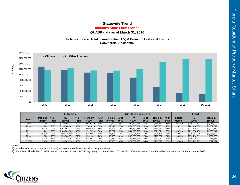## **Statewide TrendQUASR data as of March 31, 2016 Includes State Farm Florida**

## **Policies Inforce, Total Insured Value (TIV) & Premium Historical Trends Commercial Residential**



|         |                 |        | <b>Citizens</b> |        |                |       |                 |        | <b>All Other Insurers</b> |       | <b>Total</b> |       |                 |               |             |
|---------|-----------------|--------|-----------------|--------|----------------|-------|-----------------|--------|---------------------------|-------|--------------|-------|-----------------|---------------|-------------|
| Year    | <b>Policies</b> | $%$ of | <b>TIV</b>      | $%$ of | <b>Premium</b> | % of  | <b>Policies</b> | $%$ of | TIV                       | % of  | Premium      | % of  | <b>Policies</b> | <b>TIV</b>    | Premium     |
|         | <b>Inforce</b>  | Total  | (\$000)         | Total  | (\$000)        | Total | <b>Inforce</b>  | Total  | (\$000)                   | Total | (\$000)      | Total | <b>Inforce</b>  | (\$000)       | (\$000)     |
| 2009    | 21.369          | 20%    | \$129,568,971   | 53%    | \$550,430      | 54%   | 83.020          | 80%    | \$117,203,651             | 47%   | \$465,567    | 46%   | 104,389         | \$246,772,622 | \$1,015,997 |
| 2010    | 21.763          | 23%    | \$116,884,642   | 48%    | \$542,028      | 52%   | 72.149          | 77%    | \$124,530,051             | 52%   | \$495.251    | 48%   | 93.912          | \$241.414.692 | \$1,037,279 |
| 2011    | 20.776          | 27%    | \$107.852.921   | 48%    | \$508,253      | 49%   | 57.007          | 73%    | \$115,342,976             | 52%   | \$519,460    | 51%   | 77.783          | \$223,195,897 | \$1,027,713 |
| 2012    | 19.741          | 28%    | \$104,763,503   | 48%    | \$517,270      | 50%   | 49.797          | 72%    | \$114,870,599             | 52%   | \$521,971    | 50%   | 69,538          | \$219,634,102 | \$1,039,241 |
| 2013    | 16.620          | 26%    | \$89,346,440    | 42%    | \$463,656      | 44%   | 46.395          | 74%    | \$121.034.784             | 58%   | \$598,174    | 56%   | 63.015          | \$210,381,225 | \$1,061,830 |
| 2014    | 11.626          | 19%    | \$53,508,079    | 27%    | \$261,981      | 26%   | 48.633          | 81%    | \$146,206,732             | 73%   | \$729,382    | 74%   | 60.259          | \$199.714.811 | \$991,363   |
| 2015    | 8,315           | 14%    | \$33,722,967    | 18%    | \$152,614      | 18%   | 49,070          | 86%    | \$156,376,744             | 82%   | \$712,049    | 82%   | 57,385          | \$190,099,712 | \$864,664   |
| 1Q 2016 | 7,438           | 13%    | \$28,065,696    | 15%    | \$127,557      | 15%   | 49,626          | 87%    | \$157,699,599             | 85%   | \$700,370    | 85%   | 57.064          | \$185,765,295 | \$827,927   |

#### **Notes:**

1) Includes admitted insurers (and Citizens) writing commercial residential property statewide

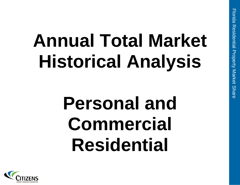## **Annual Total Market Historical Analysis**

## **Personal and Commercial Residential**

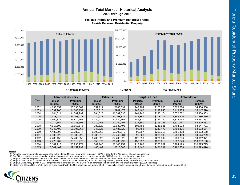## **Annual Total Market - Historical Analysis 2002 through 2015**

**Policies Inforce and Premium Historical TrendsFlorida Personal Residential Property**





#### **Admitted Insurers**

**Citizens Surplus Lines** 

|      |                                   | <b>Admitted Insurers</b>  |                                   | <b>Citizens</b>           |                                   | <b>Surplus Lines</b>      |                                   | <b>Total Market</b> |
|------|-----------------------------------|---------------------------|-----------------------------------|---------------------------|-----------------------------------|---------------------------|-----------------------------------|---------------------|
| Year | <b>Policies</b><br><b>Inforce</b> | <b>Premium</b><br>(000's) | <b>Policies</b><br><b>Inforce</b> | <b>Premium</b><br>(000's) | <b>Policies</b><br><b>Inforce</b> | <b>Premium</b><br>(000's) | <b>Policies</b><br><b>Inforce</b> | Premium<br>(000's)  |
| 2002 | 4.633.859                         | \$3,596,369               | 552.111                           | \$663,334                 | 143.904                           | \$176,805                 | 5,329,874                         | \$4,436,508         |
| 2003 | 4,537,905                         | \$4,008,152               | 728,610                           | \$941,473                 | 147.460                           | \$197,945                 | 5,413,975                         | \$5,147,570         |
| 2004 | 4,644,014                         | \$4,587,292               | 764,818                           | \$1,087,838               | 161,740                           | \$233,174                 | 5,570,572                         | \$5,908,303         |
| 2005 | 4.933.086                         | \$5,708,223               | 730.617                           | \$1.263.825               | 182.867                           | \$308,771                 | 5.846.570                         | \$7,280,819         |
| 2006 | 4.569.835                         | \$6.874.161               | 1.120.479                         | \$2,429,161               | 141.820                           | \$334.130                 | 5,832,134                         | \$9.637.452         |
| 2007 | 4.274.854                         | \$7.083.591               | 1.119.753                         | \$2,250,497               | 117.160                           | \$295.243                 | 5.511.767                         | \$9.629.331         |
| 2008 | 4,617,600                         | \$6,669,675               | 980.620                           | \$1,632,495               | 106,753                           | \$245,531                 | 5,704,973                         | \$8,547,701         |
| 2009 | 4,747,492                         | \$6,796,366               | 947,525                           | \$1,486,820               | 98,458                            | \$240.477                 | 5,793,475                         | \$8,523,664         |
| 2010 | 4,485,598                         | \$6.782.374               | 1.199.263                         | \$2,005,579               | 96.567                            | \$235.215                 | 5,781,428                         | \$9,023,168         |
| 2011 | 4.302.229                         | \$6,838,229               | 1,386,317                         | \$2,469,201               | 99,923                            | \$236,800                 | 5,788,469                         | \$9,544,229         |
| 2012 | 4,433,159                         | \$7,435,553               | 1,230,528                         | \$2,206,326               | 125.599                           | \$271,092                 | 5,789,286                         | \$9.912.971         |
| 2013 | 4,723,207                         | \$8,318,272               | 956.877                           | \$1,735,299               | 152,592                           | \$333,619                 | 5,832,676                         | \$10,387,190        |
| 2014 | 5,161,213                         | \$8,935,274               | 609.148                           | \$1,105,259               | 213.768                           | \$355,262                 | 5,984,129                         | \$10,395,795        |
| 2015 | 5.507.409                         | \$9.159.797               | 460.489                           | \$818,388                 | 212,440                           | \$421.291                 | 6.180.338                         | \$10.399.476        |

#### **Notes:**

1) Admitted insurer information is as reported to the Florida Office of Insurance Regulation (QUASR data) for the 4th quarter of each calendar year

2) For Citizens and the admitted market, policies inforce exclude ex-wind policies due to changes in QUASR reporting requirements over time

Surplus Lines data reported to the FSLSO as of 04/26/2016; insured value data is not reported and thus is excluded from this analysis<br>Surplus Lines for personal residential include HO-3, HO-4, HO-6, HO-8(starting in 2014),

3) 4) 5)